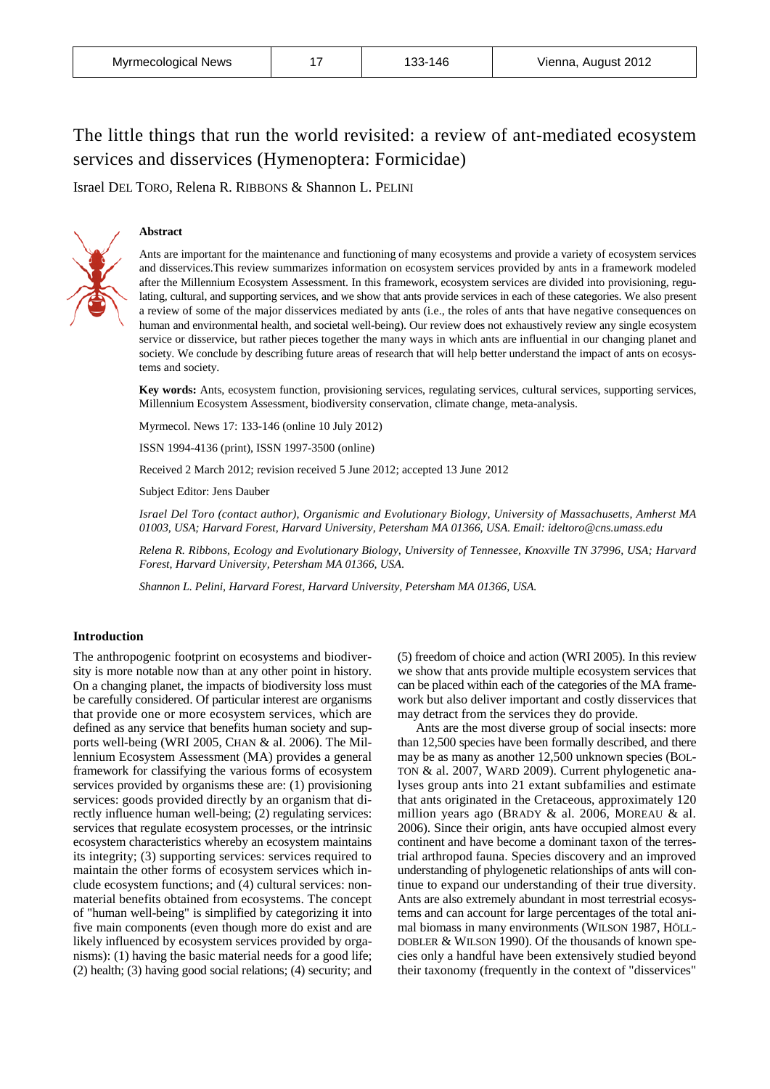# The little things that run the world revisited: a review of ant-mediated ecosystem services and disservices (Hymenoptera: Formicidae)

Israel DEL TORO, Relena R. RIBBONS & Shannon L. PELINI

# **Abstract**



Ants are important for the maintenance and functioning of many ecosystems and provide a variety of ecosystem services and disservices.This review summarizes information on ecosystem services provided by ants in a framework modeled after the Millennium Ecosystem Assessment. In this framework, ecosystem services are divided into provisioning, regulating, cultural, and supporting services, and we show that ants provide services in each of these categories. We also present a review of some of the major disservices mediated by ants (i.e., the roles of ants that have negative consequences on human and environmental health, and societal well-being). Our review does not exhaustively review any single ecosystem service or disservice, but rather pieces together the many ways in which ants are influential in our changing planet and society. We conclude by describing future areas of research that will help better understand the impact of ants on ecosystems and society.

**Key words:** Ants, ecosystem function, provisioning services, regulating services, cultural services, supporting services, Millennium Ecosystem Assessment, biodiversity conservation, climate change, meta-analysis.

Myrmecol. News 17: 133-146 (online 10 July 2012)

ISSN 1994-4136 (print), ISSN 1997-3500 (online)

Received 2 March 2012; revision received 5 June 2012; accepted 13 June 2012

Subject Editor: Jens Dauber

*Israel Del Toro (contact author), Organismic and Evolutionary Biology, University of Massachusetts, Amherst MA 01003, USA; Harvard Forest, Harvard University, Petersham MA 01366, USA*. *Email: ideltoro@cns.umass.edu*

*Relena R. Ribbons, Ecology and Evolutionary Biology, University of Tennessee, Knoxville TN 37996, USA; Harvard Forest, Harvard University, Petersham MA 01366, USA*.

*Shannon L. Pelini, Harvard Forest, Harvard University, Petersham MA 01366, USA.*

# **Introduction**

The anthropogenic footprint on ecosystems and biodiversity is more notable now than at any other point in history. On a changing planet, the impacts of biodiversity loss must be carefully considered. Of particular interest are organisms that provide one or more ecosystem services, which are defined as any service that benefits human society and supports well-being (WRI 2005, CHAN & al. 2006). The Millennium Ecosystem Assessment (MA) provides a general framework for classifying the various forms of ecosystem services provided by organisms these are: (1) provisioning services: goods provided directly by an organism that directly influence human well-being; (2) regulating services: services that regulate ecosystem processes, or the intrinsic ecosystem characteristics whereby an ecosystem maintains its integrity; (3) supporting services: services required to maintain the other forms of ecosystem services which include ecosystem functions; and (4) cultural services: nonmaterial benefits obtained from ecosystems. The concept of "human well-being" is simplified by categorizing it into five main components (even though more do exist and are likely influenced by ecosystem services provided by organisms): (1) having the basic material needs for a good life; (2) health; (3) having good social relations; (4) security; and

(5) freedom of choice and action (WRI 2005). In this review we show that ants provide multiple ecosystem services that can be placed within each of the categories of the MA framework but also deliver important and costly disservices that may detract from the services they do provide.

Ants are the most diverse group of social insects: more than 12,500 species have been formally described, and there may be as many as another 12,500 unknown species (BOL-TON & al. 2007, WARD 2009). Current phylogenetic analyses group ants into 21 extant subfamilies and estimate that ants originated in the Cretaceous, approximately 120 million years ago (BRADY & al. 2006, MOREAU & al. 2006). Since their origin, ants have occupied almost every continent and have become a dominant taxon of the terrestrial arthropod fauna. Species discovery and an improved understanding of phylogenetic relationships of ants will continue to expand our understanding of their true diversity. Ants are also extremely abundant in most terrestrial ecosystems and can account for large percentages of the total animal biomass in many environments (WILSON 1987, HÖLL-DOBLER & WILSON 1990). Of the thousands of known species only a handful have been extensively studied beyond their taxonomy (frequently in the context of "disservices"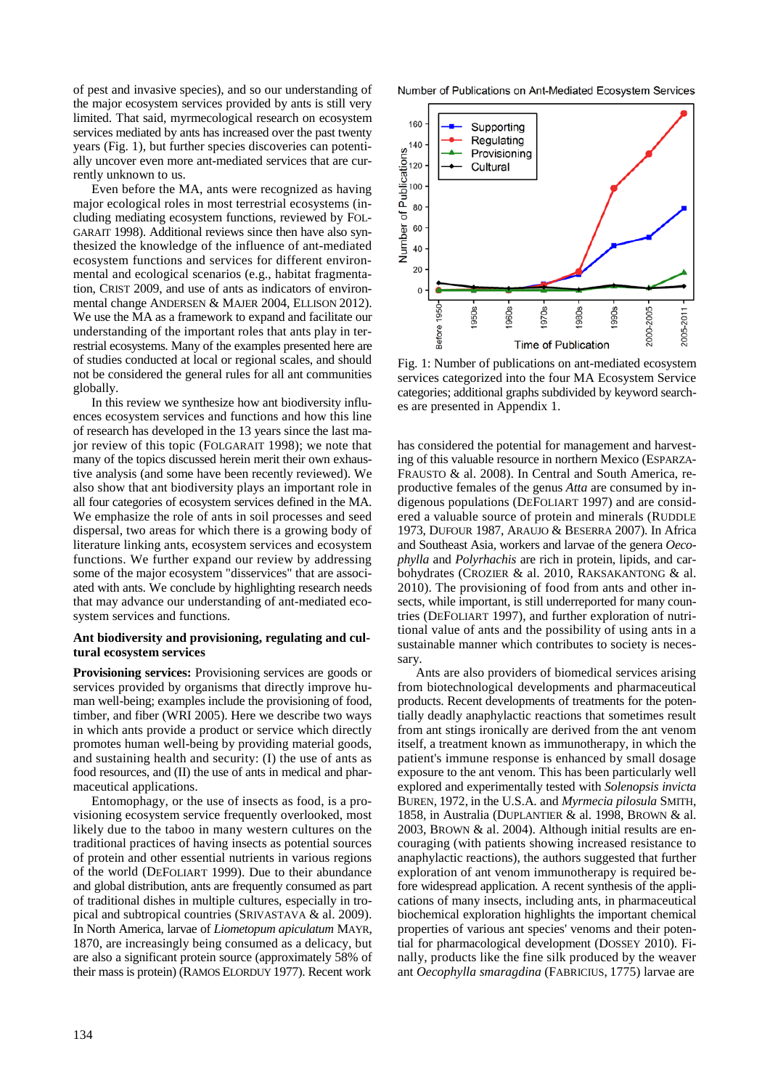of pest and invasive species), and so our understanding of the major ecosystem services provided by ants is still very limited. That said, myrmecological research on ecosystem services mediated by ants has increased over the past twenty years (Fig. 1), but further species discoveries can potentially uncover even more ant-mediated services that are currently unknown to us.

Even before the MA, ants were recognized as having major ecological roles in most terrestrial ecosystems (including mediating ecosystem functions, reviewed by FOL-GARAIT 1998). Additional reviews since then have also synthesized the knowledge of the influence of ant-mediated ecosystem functions and services for different environmental and ecological scenarios (e.g., habitat fragmentation, CRIST 2009, and use of ants as indicators of environmental change ANDERSEN & MAJER 2004, ELLISON 2012). We use the MA as a framework to expand and facilitate our understanding of the important roles that ants play in terrestrial ecosystems. Many of the examples presented here are of studies conducted at local or regional scales, and should not be considered the general rules for all ant communities globally.

In this review we synthesize how ant biodiversity influences ecosystem services and functions and how this line of research has developed in the 13 years since the last major review of this topic (FOLGARAIT 1998); we note that many of the topics discussed herein merit their own exhaustive analysis (and some have been recently reviewed). We also show that ant biodiversity plays an important role in all four categories of ecosystem services defined in the MA. We emphasize the role of ants in soil processes and seed dispersal, two areas for which there is a growing body of literature linking ants, ecosystem services and ecosystem functions. We further expand our review by addressing some of the major ecosystem "disservices" that are associated with ants. We conclude by highlighting research needs that may advance our understanding of ant-mediated ecosystem services and functions.

## **Ant biodiversity and provisioning, regulating and cultural ecosystem services**

**Provisioning services:** Provisioning services are goods or services provided by organisms that directly improve human well-being; examples include the provisioning of food, timber, and fiber (WRI 2005). Here we describe two ways in which ants provide a product or service which directly promotes human well-being by providing material goods, and sustaining health and security: (I) the use of ants as food resources, and (II) the use of ants in medical and pharmaceutical applications.

Entomophagy, or the use of insects as food, is a provisioning ecosystem service frequently overlooked, most likely due to the taboo in many western cultures on the traditional practices of having insects as potential sources of protein and other essential nutrients in various regions of the world (DEFOLIART 1999). Due to their abundance and global distribution, ants are frequently consumed as part of traditional dishes in multiple cultures, especially in tropical and subtropical countries (SRIVASTAVA & al. 2009). In North America, larvae of *Liometopum apiculatum* MAYR, 1870, are increasingly being consumed as a delicacy, but are also a significant protein source (approximately 58% of their mass is protein) (RAMOS ELORDUY 1977). Recent work

Number of Publications on Ant-Mediated Ecosystem Services



Fig. 1: Number of publications on ant-mediated ecosystem services categorized into the four MA Ecosystem Service categories; additional graphs subdivided by keyword searches are presented in Appendix 1.

has considered the potential for management and harvesting of this valuable resource in northern Mexico (ESPARZA-FRAUSTO & al. 2008). In Central and South America, reproductive females of the genus *Atta* are consumed by indigenous populations (DEFOLIART 1997) and are considered a valuable source of protein and minerals (RUDDLE 1973, DUFOUR 1987, ARAUJO & BESERRA 2007). In Africa and Southeast Asia, workers and larvae of the genera *Oecophylla* and *Polyrhachis* are rich in protein, lipids, and carbohydrates (CROZIER & al. 2010, RAKSAKANTONG & al. 2010). The provisioning of food from ants and other insects, while important, is still underreported for many countries (DEFOLIART 1997), and further exploration of nutritional value of ants and the possibility of using ants in a sustainable manner which contributes to society is necessary.

Ants are also providers of biomedical services arising from biotechnological developments and pharmaceutical products. Recent developments of treatments for the potentially deadly anaphylactic reactions that sometimes result from ant stings ironically are derived from the ant venom itself, a treatment known as immunotherapy, in which the patient's immune response is enhanced by small dosage exposure to the ant venom. This has been particularly well explored and experimentally tested with *Solenopsis invicta* BUREN, 1972, in the U.S.A. and *Myrmecia pilosula* SMITH, 1858, in Australia (DUPLANTIER & al. 1998, BROWN & al. 2003, BROWN & al. 2004). Although initial results are encouraging (with patients showing increased resistance to anaphylactic reactions), the authors suggested that further exploration of ant venom immunotherapy is required before widespread application. A recent synthesis of the applications of many insects, including ants, in pharmaceutical biochemical exploration highlights the important chemical properties of various ant species' venoms and their potential for pharmacological development (DOSSEY 2010). Finally, products like the fine silk produced by the weaver ant *Oecophylla smaragdina* (FABRICIUS, 1775) larvae are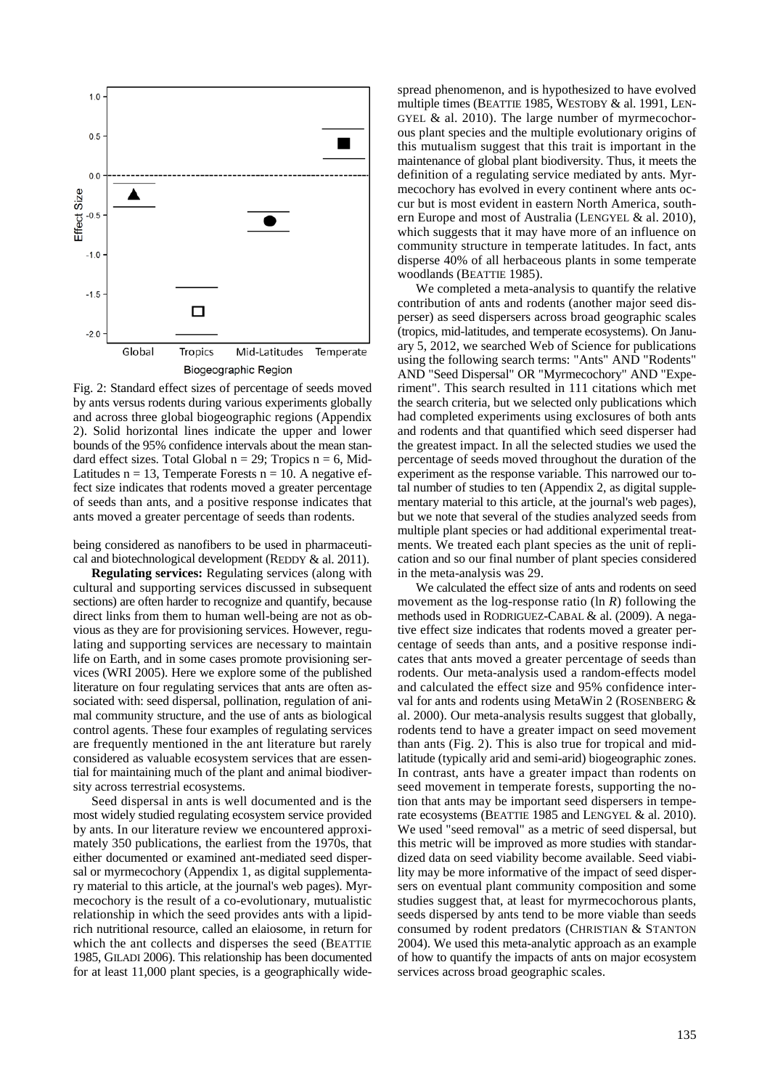

Fig. 2: Standard effect sizes of percentage of seeds moved by ants versus rodents during various experiments globally and across three global biogeographic regions (Appendix 2). Solid horizontal lines indicate the upper and lower bounds of the 95% confidence intervals about the mean standard effect sizes. Total Global  $n = 29$ ; Tropics  $n = 6$ , Mid-Latitudes  $n = 13$ , Temperate Forests  $n = 10$ . A negative effect size indicates that rodents moved a greater percentage of seeds than ants, and a positive response indicates that ants moved a greater percentage of seeds than rodents.

being considered as nanofibers to be used in pharmaceutical and biotechnological development (REDDY & al. 2011).

**Regulating services:** Regulating services (along with cultural and supporting services discussed in subsequent sections) are often harder to recognize and quantify, because direct links from them to human well-being are not as obvious as they are for provisioning services. However, regulating and supporting services are necessary to maintain life on Earth, and in some cases promote provisioning services (WRI 2005). Here we explore some of the published literature on four regulating services that ants are often associated with: seed dispersal, pollination, regulation of animal community structure, and the use of ants as biological control agents. These four examples of regulating services are frequently mentioned in the ant literature but rarely considered as valuable ecosystem services that are essential for maintaining much of the plant and animal biodiversity across terrestrial ecosystems.

Seed dispersal in ants is well documented and is the most widely studied regulating ecosystem service provided by ants. In our literature review we encountered approximately 350 publications, the earliest from the 1970s, that either documented or examined ant-mediated seed dispersal or myrmecochory (Appendix 1, as digital supplementary material to this article, at the journal's web pages). Myrmecochory is the result of a co-evolutionary, mutualistic relationship in which the seed provides ants with a lipidrich nutritional resource, called an elaiosome, in return for which the ant collects and disperses the seed (BEATTIE 1985, GILADI 2006). This relationship has been documented for at least 11,000 plant species, is a geographically widespread phenomenon, and is hypothesized to have evolved multiple times (BEATTIE 1985, WESTOBY & al. 1991, LEN-GYEL & al. 2010). The large number of myrmecochorous plant species and the multiple evolutionary origins of this mutualism suggest that this trait is important in the maintenance of global plant biodiversity. Thus, it meets the definition of a regulating service mediated by ants. Myrmecochory has evolved in every continent where ants occur but is most evident in eastern North America, southern Europe and most of Australia (LENGYEL & al. 2010), which suggests that it may have more of an influence on community structure in temperate latitudes. In fact, ants disperse 40% of all herbaceous plants in some temperate woodlands (BEATTIE 1985).

We completed a meta-analysis to quantify the relative contribution of ants and rodents (another major seed disperser) as seed dispersers across broad geographic scales (tropics, mid-latitudes, and temperate ecosystems). On January 5, 2012, we searched Web of Science for publications using the following search terms: "Ants" AND "Rodents" AND "Seed Dispersal" OR "Myrmecochory" AND "Experiment". This search resulted in 111 citations which met the search criteria, but we selected only publications which had completed experiments using exclosures of both ants and rodents and that quantified which seed disperser had the greatest impact. In all the selected studies we used the percentage of seeds moved throughout the duration of the experiment as the response variable. This narrowed our total number of studies to ten (Appendix 2, as digital supplementary material to this article, at the journal's web pages), but we note that several of the studies analyzed seeds from multiple plant species or had additional experimental treatments. We treated each plant species as the unit of replication and so our final number of plant species considered in the meta-analysis was 29.

We calculated the effect size of ants and rodents on seed movement as the log-response ratio (ln *R*) following the methods used in RODRIGUEZ-CABAL & al. (2009). A negative effect size indicates that rodents moved a greater percentage of seeds than ants, and a positive response indicates that ants moved a greater percentage of seeds than rodents. Our meta-analysis used a random-effects model and calculated the effect size and 95% confidence interval for ants and rodents using MetaWin 2 (ROSENBERG & al. 2000). Our meta-analysis results suggest that globally, rodents tend to have a greater impact on seed movement than ants (Fig. 2). This is also true for tropical and midlatitude (typically arid and semi-arid) biogeographic zones. In contrast, ants have a greater impact than rodents on seed movement in temperate forests, supporting the notion that ants may be important seed dispersers in temperate ecosystems (BEATTIE 1985 and LENGYEL & al. 2010). We used "seed removal" as a metric of seed dispersal, but this metric will be improved as more studies with standardized data on seed viability become available. Seed viability may be more informative of the impact of seed dispersers on eventual plant community composition and some studies suggest that, at least for myrmecochorous plants, seeds dispersed by ants tend to be more viable than seeds consumed by rodent predators (CHRISTIAN & STANTON 2004). We used this meta-analytic approach as an example of how to quantify the impacts of ants on major ecosystem services across broad geographic scales.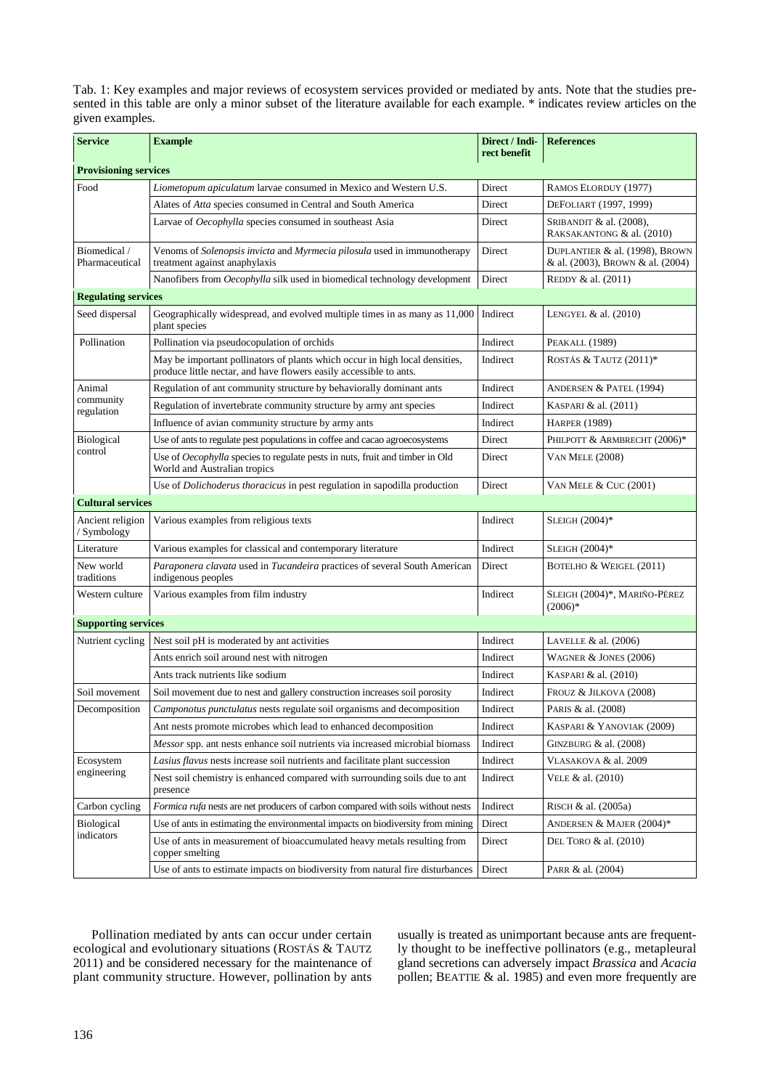Tab. 1: Key examples and major reviews of ecosystem services provided or mediated by ants. Note that the studies presented in this table are only a minor subset of the literature available for each example. \* indicates review articles on the given examples.

| <b>Service</b>                    | <b>Example</b>                                                                                                                                    | Direct / Indi-<br>rect benefit | <b>References</b>                                                  |
|-----------------------------------|---------------------------------------------------------------------------------------------------------------------------------------------------|--------------------------------|--------------------------------------------------------------------|
| <b>Provisioning services</b>      |                                                                                                                                                   |                                |                                                                    |
| Food                              | Liometopum apiculatum larvae consumed in Mexico and Western U.S.                                                                                  | Direct                         | RAMOS ELORDUY (1977)                                               |
|                                   | Alates of Atta species consumed in Central and South America                                                                                      | Direct                         | DEFOLIART (1997, 1999)                                             |
|                                   | Larvae of Oecophylla species consumed in southeast Asia                                                                                           | Direct                         | SRIBANDIT & al. (2008),<br>RAKSAKANTONG & al. (2010)               |
| Biomedical /<br>Pharmaceutical    | Venoms of Solenopsis invicta and Myrmecia pilosula used in immunotherapy<br>treatment against anaphylaxis                                         | Direct                         | DUPLANTIER & al. (1998), BROWN<br>& al. (2003), BROWN & al. (2004) |
|                                   | Nanofibers from Oecophylla silk used in biomedical technology development                                                                         | Direct                         | REDDY & al. (2011)                                                 |
| <b>Regulating services</b>        |                                                                                                                                                   |                                |                                                                    |
| Seed dispersal                    | Geographically widespread, and evolved multiple times in as many as 11,000<br>plant species                                                       | Indirect                       | LENGYEL $&$ al. $(2010)$                                           |
| Pollination                       | Pollination via pseudocopulation of orchids                                                                                                       | Indirect                       | PEAKALL (1989)                                                     |
|                                   | May be important pollinators of plants which occur in high local densities,<br>produce little nectar, and have flowers easily accessible to ants. | Indirect                       | ROSTÁS & TAUTZ (2011)*                                             |
| Animal<br>community<br>regulation | Regulation of ant community structure by behaviorally dominant ants                                                                               | Indirect                       | ANDERSEN & PATEL (1994)                                            |
|                                   | Regulation of invertebrate community structure by army ant species                                                                                | Indirect                       | KASPARI & al. (2011)                                               |
|                                   | Influence of avian community structure by army ants                                                                                               | Indirect                       | <b>HARPER (1989)</b>                                               |
| Biological<br>control             | Use of ants to regulate pest populations in coffee and cacao agroecosystems                                                                       | Direct                         | PHILPOTT & ARMBRECHT (2006)*                                       |
|                                   | Use of Oecophylla species to regulate pests in nuts, fruit and timber in Old<br>World and Australian tropics                                      | Direct                         | <b>VAN MELE (2008)</b>                                             |
|                                   | Use of <i>Dolichoderus thoracicus</i> in pest regulation in sapodilla production                                                                  | <b>Direct</b>                  | <b>VAN MELE &amp; CUC (2001)</b>                                   |
| <b>Cultural services</b>          |                                                                                                                                                   |                                |                                                                    |
| Ancient religion<br>/ Symbology   | Various examples from religious texts                                                                                                             | Indirect                       | SLEIGH $(2004)*$                                                   |
| Literature                        | Various examples for classical and contemporary literature                                                                                        | Indirect                       | SLEIGH $(2004)*$                                                   |
| New world<br>traditions           | Paraponera clavata used in Tucandeira practices of several South American<br>indigenous peoples                                                   | Direct                         | BOTELHO & WEIGEL (2011)                                            |
| Western culture                   | Various examples from film industry                                                                                                               | Indirect                       | SLEIGH (2004)*, MARIÑO-PÉREZ<br>$(2006)*$                          |
| <b>Supporting services</b>        |                                                                                                                                                   |                                |                                                                    |
| Nutrient cycling                  | Nest soil pH is moderated by ant activities                                                                                                       | Indirect                       | LAVELLE $&$ al. $(2006)$                                           |
|                                   | Ants enrich soil around nest with nitrogen                                                                                                        | Indirect                       | WAGNER $&$ JONES (2006)                                            |
|                                   | Ants track nutrients like sodium                                                                                                                  | Indirect                       | KASPARI & al. (2010)                                               |
| Soil movement                     | Soil movement due to nest and gallery construction increases soil porosity                                                                        | Indirect                       | FROUZ & JILKOVA (2008)                                             |
| Decomposition                     | Camponotus punctulatus nests regulate soil organisms and decomposition                                                                            | Indirect                       | PARIS & al. (2008)                                                 |
| Ecosystem<br>engineering          | Ant nests promote microbes which lead to enhanced decomposition                                                                                   | Indirect                       | KASPARI & YANOVIAK (2009)                                          |
|                                   | Messor spp. ant nests enhance soil nutrients via increased microbial biomass                                                                      | Indirect                       | GINZBURG $&$ al. (2008)                                            |
|                                   | Lasius flavus nests increase soil nutrients and facilitate plant succession                                                                       | Indirect                       | VLASAKOVA & al. 2009                                               |
|                                   | Nest soil chemistry is enhanced compared with surrounding soils due to ant<br>presence                                                            | Indirect                       | VELE & al. $(2010)$                                                |
| Carbon cycling                    | <i>Formica rufa</i> nests are net producers of carbon compared with soils without nests                                                           | Indirect                       | RISCH & al. (2005a)                                                |
| Biological<br>indicators          | Use of ants in estimating the environmental impacts on biodiversity from mining                                                                   | Direct                         | ANDERSEN & MAJER $(2004)^*$                                        |
|                                   | Use of ants in measurement of bioaccumulated heavy metals resulting from<br>copper smelting                                                       | Direct                         | DEL TORO & al. (2010)                                              |
|                                   | Use of ants to estimate impacts on biodiversity from natural fire disturbances                                                                    | Direct                         | PARR & al. (2004)                                                  |

Pollination mediated by ants can occur under certain ecological and evolutionary situations (ROSTÁS & TAUTZ 2011) and be considered necessary for the maintenance of plant community structure. However, pollination by ants

usually is treated as unimportant because ants are frequently thought to be ineffective pollinators (e.g., metapleural gland secretions can adversely impact *Brassica* and *Acacia* pollen; BEATTIE & al. 1985) and even more frequently are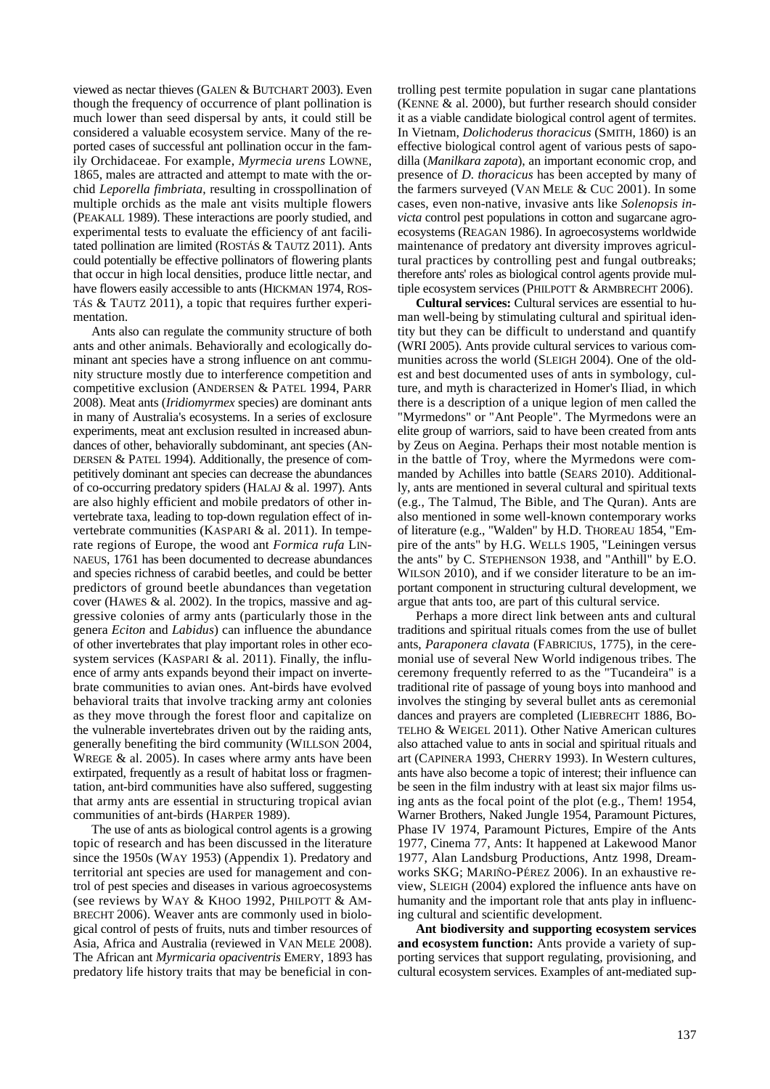viewed as nectar thieves (GALEN & BUTCHART 2003). Even though the frequency of occurrence of plant pollination is much lower than seed dispersal by ants, it could still be considered a valuable ecosystem service. Many of the reported cases of successful ant pollination occur in the family Orchidaceae. For example, *Myrmecia urens* LOWNE, 1865, males are attracted and attempt to mate with the orchid *Leporella fimbriata*, resulting in crosspollination of multiple orchids as the male ant visits multiple flowers (PEAKALL 1989). These interactions are poorly studied, and experimental tests to evaluate the efficiency of ant facilitated pollination are limited (ROSTÁS & TAUTZ 2011). Ants could potentially be effective pollinators of flowering plants that occur in high local densities, produce little nectar, and have flowers easily accessible to ants (HICKMAN 1974, ROS-TÁS & TAUTZ 2011), a topic that requires further experimentation.

Ants also can regulate the community structure of both ants and other animals. Behaviorally and ecologically dominant ant species have a strong influence on ant community structure mostly due to interference competition and competitive exclusion (ANDERSEN & PATEL 1994, PARR 2008). Meat ants (*Iridiomyrmex* species) are dominant ants in many of Australia's ecosystems. In a series of exclosure experiments, meat ant exclusion resulted in increased abundances of other, behaviorally subdominant, ant species (AN-DERSEN & PATEL 1994). Additionally, the presence of competitively dominant ant species can decrease the abundances of co-occurring predatory spiders (HALAJ & al. 1997). Ants are also highly efficient and mobile predators of other invertebrate taxa, leading to top-down regulation effect of invertebrate communities (KASPARI & al. 2011). In temperate regions of Europe, the wood ant *Formica rufa* LIN-NAEUS, 1761 has been documented to decrease abundances and species richness of carabid beetles, and could be better predictors of ground beetle abundances than vegetation cover (HAWES  $\&$  al. 2002). In the tropics, massive and aggressive colonies of army ants (particularly those in the genera *Eciton* and *Labidus*) can influence the abundance of other invertebrates that play important roles in other ecosystem services (KASPARI & al. 2011). Finally, the influence of army ants expands beyond their impact on invertebrate communities to avian ones. Ant-birds have evolved behavioral traits that involve tracking army ant colonies as they move through the forest floor and capitalize on the vulnerable invertebrates driven out by the raiding ants, generally benefiting the bird community (WILLSON 2004, WREGE & al. 2005). In cases where army ants have been extirpated, frequently as a result of habitat loss or fragmentation, ant-bird communities have also suffered, suggesting that army ants are essential in structuring tropical avian communities of ant-birds (HARPER 1989).

The use of ants as biological control agents is a growing topic of research and has been discussed in the literature since the 1950s (WAY 1953) (Appendix 1). Predatory and territorial ant species are used for management and control of pest species and diseases in various agroecosystems (see reviews by WAY & KHOO 1992, PHILPOTT & AM-BRECHT 2006). Weaver ants are commonly used in biological control of pests of fruits, nuts and timber resources of Asia, Africa and Australia (reviewed in VAN MELE 2008). The African ant *Myrmicaria opaciventris* EMERY, 1893 has predatory life history traits that may be beneficial in con-

trolling pest termite population in sugar cane plantations (KENNE & al. 2000), but further research should consider it as a viable candidate biological control agent of termites. In Vietnam, *Dolichoderus thoracicus* (SMITH, 1860) is an effective biological control agent of various pests of sapodilla (*Manilkara zapota*), an important economic crop, and presence of *D. thoracicus* has been accepted by many of the farmers surveyed (VAN MELE & CUC 2001). In some cases, even non-native, invasive ants like *Solenopsis invicta* control pest populations in cotton and sugarcane agroecosystems (REAGAN 1986). In agroecosystems worldwide maintenance of predatory ant diversity improves agricultural practices by controlling pest and fungal outbreaks; therefore ants' roles as biological control agents provide multiple ecosystem services (PHILPOTT & ARMBRECHT 2006).

**Cultural services:** Cultural services are essential to human well-being by stimulating cultural and spiritual identity but they can be difficult to understand and quantify (WRI 2005). Ants provide cultural services to various communities across the world (SLEIGH 2004). One of the oldest and best documented uses of ants in symbology, culture, and myth is characterized in Homer's Iliad, in which there is a description of a unique legion of men called the "Myrmedons" or "Ant People". The Myrmedons were an elite group of warriors, said to have been created from ants by Zeus on Aegina. Perhaps their most notable mention is in the battle of Troy, where the Myrmedons were commanded by Achilles into battle (SEARS 2010). Additionally, ants are mentioned in several cultural and spiritual texts (e.g., The Talmud, The Bible, and The Quran). Ants are also mentioned in some well-known contemporary works of literature (e.g., "Walden" by H.D. THOREAU 1854, "Empire of the ants" by H.G. WELLS 1905, "Leiningen versus the ants" by C. STEPHENSON 1938, and "Anthill" by E.O. WILSON 2010), and if we consider literature to be an important component in structuring cultural development, we argue that ants too, are part of this cultural service.

Perhaps a more direct link between ants and cultural traditions and spiritual rituals comes from the use of bullet ants, *Paraponera clavata* (FABRICIUS, 1775), in the ceremonial use of several New World indigenous tribes. The ceremony frequently referred to as the "Tucandeira" is a traditional rite of passage of young boys into manhood and involves the stinging by several bullet ants as ceremonial dances and prayers are completed (LIEBRECHT 1886, BO-TELHO & WEIGEL 2011). Other Native American cultures also attached value to ants in social and spiritual rituals and art (CAPINERA 1993, CHERRY 1993). In Western cultures, ants have also become a topic of interest; their influence can be seen in the film industry with at least six major films using ants as the focal point of the plot (e.g., Them! 1954, Warner Brothers, Naked Jungle 1954, Paramount Pictures, Phase IV 1974, Paramount Pictures, Empire of the Ants 1977, Cinema 77, Ants: It happened at Lakewood Manor 1977, Alan Landsburg Productions, Antz 1998, Dreamworks SKG; MARIÑO-PÉREZ 2006). In an exhaustive review, SLEIGH (2004) explored the influence ants have on humanity and the important role that ants play in influencing cultural and scientific development.

**Ant biodiversity and supporting ecosystem services and ecosystem function:** Ants provide a variety of supporting services that support regulating, provisioning, and cultural ecosystem services. Examples of ant-mediated sup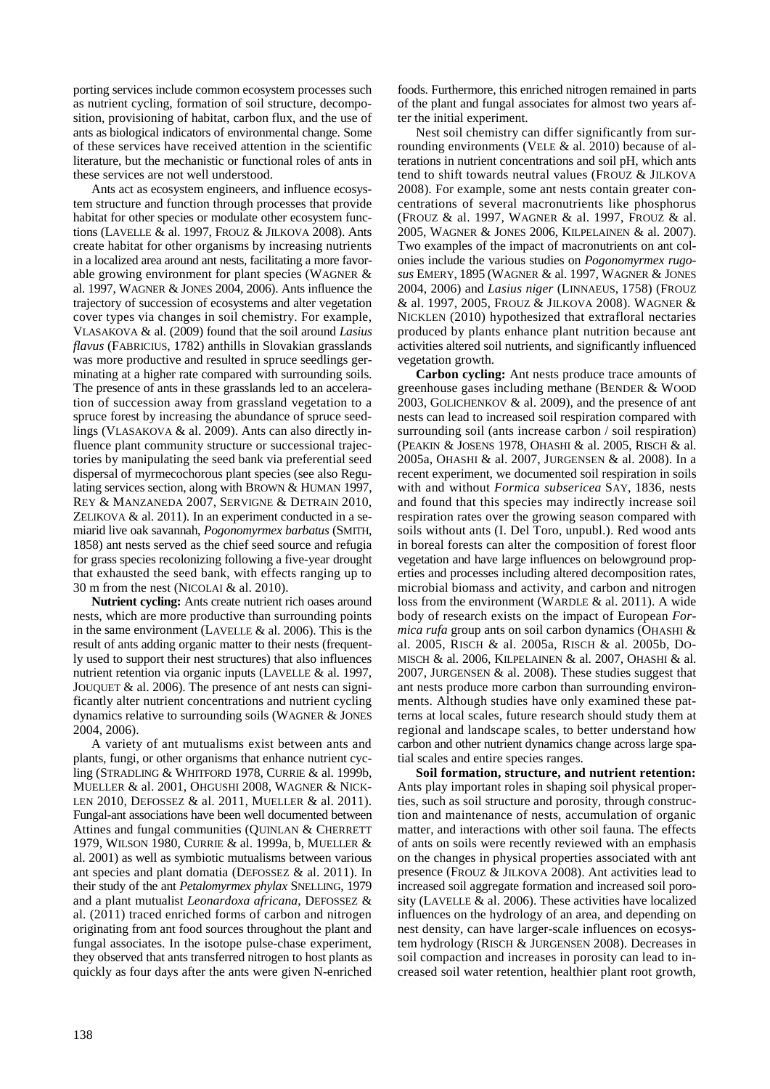porting services include common ecosystem processes such as nutrient cycling, formation of soil structure, decomposition, provisioning of habitat, carbon flux, and the use of ants as biological indicators of environmental change. Some of these services have received attention in the scientific literature, but the mechanistic or functional roles of ants in these services are not well understood.

Ants act as ecosystem engineers, and influence ecosystem structure and function through processes that provide habitat for other species or modulate other ecosystem functions (LAVELLE & al. 1997, FROUZ & JILKOVA 2008). Ants create habitat for other organisms by increasing nutrients in a localized area around ant nests, facilitating a more favorable growing environment for plant species (WAGNER & al. 1997, WAGNER & JONES 2004, 2006). Ants influence the trajectory of succession of ecosystems and alter vegetation cover types via changes in soil chemistry. For example, VLASAKOVA & al. (2009) found that the soil around *Lasius flavus* (FABRICIUS, 1782) anthills in Slovakian grasslands was more productive and resulted in spruce seedlings germinating at a higher rate compared with surrounding soils. The presence of ants in these grasslands led to an acceleration of succession away from grassland vegetation to a spruce forest by increasing the abundance of spruce seedlings (VLASAKOVA & al. 2009). Ants can also directly influence plant community structure or successional trajectories by manipulating the seed bank via preferential seed dispersal of myrmecochorous plant species (see also Regulating services section, along with BROWN & HUMAN 1997, REY & MANZANEDA 2007, SERVIGNE & DETRAIN 2010, ZELIKOVA & al. 2011). In an experiment conducted in a semiarid live oak savannah, *Pogonomyrmex barbatus* (SMITH, 1858) ant nests served as the chief seed source and refugia for grass species recolonizing following a five-year drought that exhausted the seed bank, with effects ranging up to 30 m from the nest (NICOLAI & al. 2010).

**Nutrient cycling:** Ants create nutrient rich oases around nests, which are more productive than surrounding points in the same environment (LAVELLE  $&$  al. 2006). This is the result of ants adding organic matter to their nests (frequently used to support their nest structures) that also influences nutrient retention via organic inputs (LAVELLE & al. 1997, JOUQUET & al. 2006). The presence of ant nests can significantly alter nutrient concentrations and nutrient cycling dynamics relative to surrounding soils (WAGNER & JONES 2004, 2006).

A variety of ant mutualisms exist between ants and plants, fungi, or other organisms that enhance nutrient cycling (STRADLING & WHITFORD 1978, CURRIE & al. 1999b, MUELLER & al. 2001, OHGUSHI 2008, WAGNER & NICK-LEN 2010, DEFOSSEZ & al. 2011, MUELLER & al. 2011). Fungal-ant associations have been well documented between Attines and fungal communities (QUINLAN & CHERRETT 1979, WILSON 1980, CURRIE & al. 1999a, b, MUELLER & al. 2001) as well as symbiotic mutualisms between various ant species and plant domatia (DEFOSSEZ & al. 2011). In their study of the ant *Petalomyrmex phylax* SNELLING, 1979 and a plant mutualist *Leonardoxa africana*, DEFOSSEZ & al. (2011) traced enriched forms of carbon and nitrogen originating from ant food sources throughout the plant and fungal associates. In the isotope pulse-chase experiment, they observed that ants transferred nitrogen to host plants as quickly as four days after the ants were given N-enriched

foods. Furthermore, this enriched nitrogen remained in parts of the plant and fungal associates for almost two years after the initial experiment.

Nest soil chemistry can differ significantly from surrounding environments (VELE & al. 2010) because of alterations in nutrient concentrations and soil pH, which ants tend to shift towards neutral values (FROUZ & JILKOVA 2008). For example, some ant nests contain greater concentrations of several macronutrients like phosphorus (FROUZ & al. 1997, WAGNER & al. 1997, FROUZ & al. 2005, WAGNER & JONES 2006, KILPELAINEN & al. 2007). Two examples of the impact of macronutrients on ant colonies include the various studies on *Pogonomyrmex rugosus* EMERY, 1895 (WAGNER & al. 1997, WAGNER & JONES 2004, 2006) and *Lasius niger* (LINNAEUS, 1758) (FROUZ & al. 1997, 2005, FROUZ & JILKOVA 2008). WAGNER & NICKLEN (2010) hypothesized that extrafloral nectaries produced by plants enhance plant nutrition because ant activities altered soil nutrients, and significantly influenced vegetation growth.

**Carbon cycling:** Ant nests produce trace amounts of greenhouse gases including methane (BENDER & WOOD 2003, GOLICHENKOV & al. 2009), and the presence of ant nests can lead to increased soil respiration compared with surrounding soil (ants increase carbon / soil respiration) (PEAKIN & JOSENS 1978, OHASHI & al. 2005, RISCH & al. 2005a, OHASHI & al. 2007, JURGENSEN & al. 2008). In a recent experiment, we documented soil respiration in soils with and without *Formica subsericea* SAY, 1836, nests and found that this species may indirectly increase soil respiration rates over the growing season compared with soils without ants (I. Del Toro, unpubl.). Red wood ants in boreal forests can alter the composition of forest floor vegetation and have large influences on belowground properties and processes including altered decomposition rates, microbial biomass and activity, and carbon and nitrogen loss from the environment (WARDLE & al. 2011). A wide body of research exists on the impact of European *Formica rufa* group ants on soil carbon dynamics (OHASHI & al. 2005, RISCH & al. 2005a, RISCH & al. 2005b, DO-MISCH & al. 2006, KILPELAINEN & al. 2007, OHASHI & al. 2007, JURGENSEN & al. 2008). These studies suggest that ant nests produce more carbon than surrounding environments. Although studies have only examined these patterns at local scales, future research should study them at regional and landscape scales, to better understand how carbon and other nutrient dynamics change across large spatial scales and entire species ranges.

**Soil formation, structure, and nutrient retention:** Ants play important roles in shaping soil physical properties, such as soil structure and porosity, through construction and maintenance of nests, accumulation of organic matter, and interactions with other soil fauna. The effects of ants on soils were recently reviewed with an emphasis on the changes in physical properties associated with ant presence (FROUZ & JILKOVA 2008). Ant activities lead to increased soil aggregate formation and increased soil porosity (LAVELLE & al. 2006). These activities have localized influences on the hydrology of an area, and depending on nest density, can have larger-scale influences on ecosystem hydrology (RISCH & JURGENSEN 2008). Decreases in soil compaction and increases in porosity can lead to increased soil water retention, healthier plant root growth,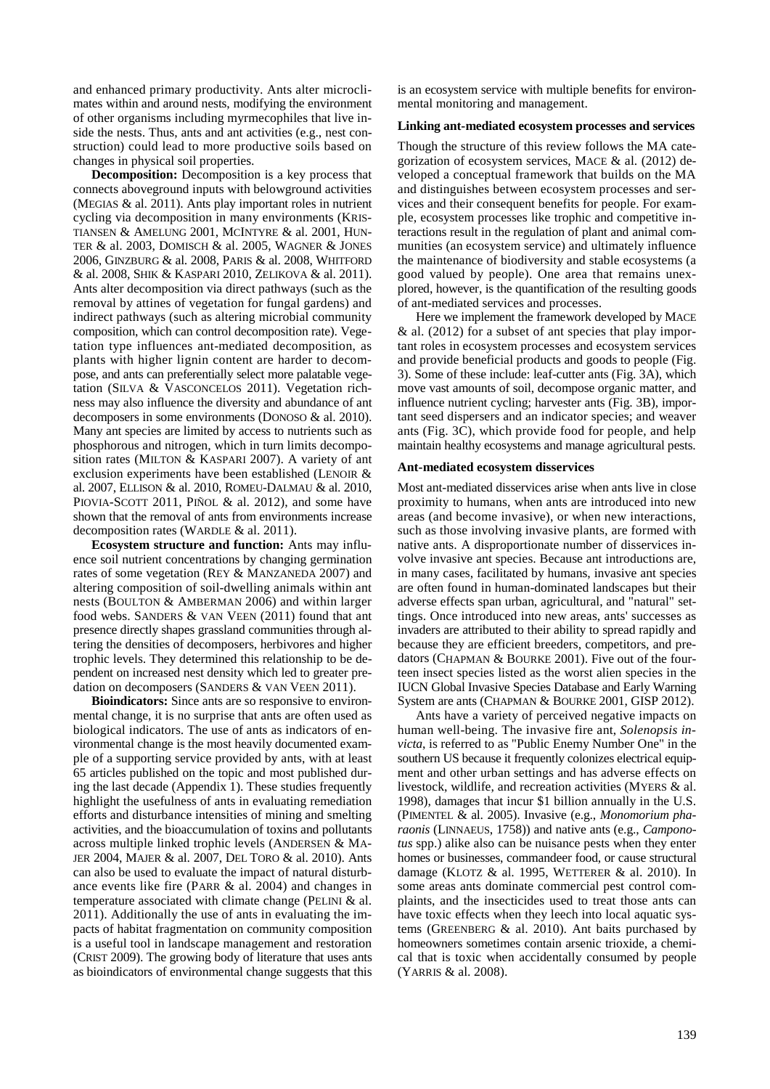and enhanced primary productivity. Ants alter microclimates within and around nests, modifying the environment of other organisms including myrmecophiles that live inside the nests. Thus, ants and ant activities (e.g., nest construction) could lead to more productive soils based on changes in physical soil properties.

**Decomposition:** Decomposition is a key process that connects aboveground inputs with belowground activities (MEGIAS & al. 2011). Ants play important roles in nutrient cycling via decomposition in many environments (KRIS-TIANSEN & AMELUNG 2001, MCINTYRE & al. 2001, HUN-TER & al. 2003, DOMISCH & al. 2005, WAGNER & JONES 2006, GINZBURG & al. 2008, PARIS & al. 2008, WHITFORD & al. 2008, SHIK & KASPARI 2010, ZELIKOVA & al. 2011). Ants alter decomposition via direct pathways (such as the removal by attines of vegetation for fungal gardens) and indirect pathways (such as altering microbial community composition, which can control decomposition rate). Vegetation type influences ant-mediated decomposition, as plants with higher lignin content are harder to decompose, and ants can preferentially select more palatable vegetation (SILVA & VASCONCELOS 2011). Vegetation richness may also influence the diversity and abundance of ant decomposers in some environments (DONOSO & al. 2010). Many ant species are limited by access to nutrients such as phosphorous and nitrogen, which in turn limits decomposition rates (MILTON & KASPARI 2007). A variety of ant exclusion experiments have been established (LENOIR & al. 2007, ELLISON & al. 2010, ROMEU-DALMAU & al. 2010, PIOVIA-SCOTT 2011, PIÑOL & al. 2012), and some have shown that the removal of ants from environments increase decomposition rates (WARDLE & al. 2011).

**Ecosystem structure and function:** Ants may influence soil nutrient concentrations by changing germination rates of some vegetation (REY & MANZANEDA 2007) and altering composition of soil-dwelling animals within ant nests (BOULTON & AMBERMAN 2006) and within larger food webs. SANDERS & VAN VEEN (2011) found that ant presence directly shapes grassland communities through altering the densities of decomposers, herbivores and higher trophic levels. They determined this relationship to be dependent on increased nest density which led to greater predation on decomposers (SANDERS & VAN VEEN 2011).

**Bioindicators:** Since ants are so responsive to environmental change, it is no surprise that ants are often used as biological indicators. The use of ants as indicators of environmental change is the most heavily documented example of a supporting service provided by ants, with at least 65 articles published on the topic and most published during the last decade (Appendix 1). These studies frequently highlight the usefulness of ants in evaluating remediation efforts and disturbance intensities of mining and smelting activities, and the bioaccumulation of toxins and pollutants across multiple linked trophic levels (ANDERSEN & MA-JER 2004, MAJER & al. 2007, DEL TORO & al. 2010). Ants can also be used to evaluate the impact of natural disturbance events like fire (PARR & al. 2004) and changes in temperature associated with climate change (PELINI & al. 2011). Additionally the use of ants in evaluating the impacts of habitat fragmentation on community composition is a useful tool in landscape management and restoration (CRIST 2009). The growing body of literature that uses ants as bioindicators of environmental change suggests that this

is an ecosystem service with multiple benefits for environmental monitoring and management.

### **Linking ant-mediated ecosystem processes and services**

Though the structure of this review follows the MA categorization of ecosystem services, MACE & al. (2012) developed a conceptual framework that builds on the MA and distinguishes between ecosystem processes and services and their consequent benefits for people. For example, ecosystem processes like trophic and competitive interactions result in the regulation of plant and animal communities (an ecosystem service) and ultimately influence the maintenance of biodiversity and stable ecosystems (a good valued by people). One area that remains unexplored, however, is the quantification of the resulting goods of ant-mediated services and processes.

Here we implement the framework developed by MACE & al. (2012) for a subset of ant species that play important roles in ecosystem processes and ecosystem services and provide beneficial products and goods to people (Fig. 3). Some of these include: leaf-cutter ants (Fig. 3A), which move vast amounts of soil, decompose organic matter, and influence nutrient cycling; harvester ants (Fig. 3B), important seed dispersers and an indicator species; and weaver ants (Fig. 3C), which provide food for people, and help maintain healthy ecosystems and manage agricultural pests.

#### **Ant-mediated ecosystem disservices**

Most ant-mediated disservices arise when ants live in close proximity to humans, when ants are introduced into new areas (and become invasive), or when new interactions, such as those involving invasive plants, are formed with native ants. A disproportionate number of disservices involve invasive ant species. Because ant introductions are, in many cases, facilitated by humans, invasive ant species are often found in human-dominated landscapes but their adverse effects span urban, agricultural, and "natural" settings. Once introduced into new areas, ants' successes as invaders are attributed to their ability to spread rapidly and because they are efficient breeders, competitors, and predators (CHAPMAN & BOURKE 2001). Five out of the fourteen insect species listed as the worst alien species in the IUCN Global Invasive Species Database and Early Warning System are ants (CHAPMAN & BOURKE 2001, GISP 2012).

Ants have a variety of perceived negative impacts on human well-being. The invasive fire ant, *Solenopsis invicta*, is referred to as "Public Enemy Number One" in the southern US because it frequently colonizes electrical equipment and other urban settings and has adverse effects on livestock, wildlife, and recreation activities (MYERS & al. 1998), damages that incur \$1 billion annually in the U.S. (PIMENTEL & al. 2005). Invasive (e.g., *Monomorium pharaonis* (LINNAEUS, 1758)) and native ants (e.g., *Camponotus* spp.) alike also can be nuisance pests when they enter homes or businesses, commandeer food, or cause structural damage (KLOTZ & al. 1995, WETTERER & al. 2010). In some areas ants dominate commercial pest control complaints, and the insecticides used to treat those ants can have toxic effects when they leech into local aquatic systems (GREENBERG & al. 2010). Ant baits purchased by homeowners sometimes contain arsenic trioxide, a chemical that is toxic when accidentally consumed by people (YARRIS & al. 2008).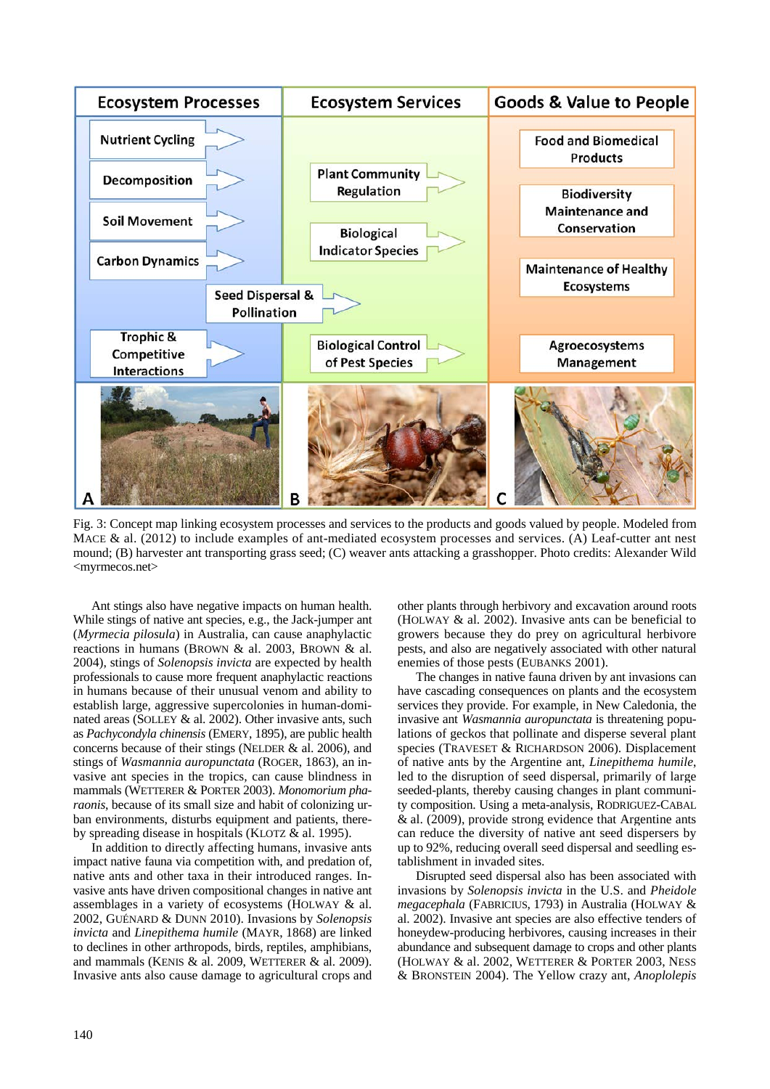

Fig. 3: Concept map linking ecosystem processes and services to the products and goods valued by people. Modeled from MACE & al. (2012) to include examples of ant-mediated ecosystem processes and services. (A) Leaf-cutter ant nest mound; (B) harvester ant transporting grass seed; (C) weaver ants attacking a grasshopper. Photo credits: Alexander Wild <myrmecos.net>

Ant stings also have negative impacts on human health. While stings of native ant species, e.g., the Jack-jumper ant (*Myrmecia pilosula*) in Australia, can cause anaphylactic reactions in humans (BROWN & al. 2003, BROWN & al. 2004), stings of *Solenopsis invicta* are expected by health professionals to cause more frequent anaphylactic reactions in humans because of their unusual venom and ability to establish large, aggressive supercolonies in human-dominated areas (SOLLEY & al. 2002). Other invasive ants, such as *Pachycondyla chinensis* (EMERY, 1895), are public health concerns because of their stings (NELDER & al. 2006), and stings of *Wasmannia auropunctata* (ROGER, 1863), an invasive ant species in the tropics*,* can cause blindness in mammals (WETTERER & PORTER 2003). *Monomorium pharaonis*, because of its small size and habit of colonizing urban environments, disturbs equipment and patients, thereby spreading disease in hospitals (KLOTZ & al. 1995).

In addition to directly affecting humans, invasive ants impact native fauna via competition with, and predation of, native ants and other taxa in their introduced ranges. Invasive ants have driven compositional changes in native ant assemblages in a variety of ecosystems (HOLWAY & al. 2002, GUÉNARD & DUNN 2010). Invasions by *Solenopsis invicta* and *Linepithema humile* (MAYR, 1868) are linked to declines in other arthropods, birds, reptiles, amphibians, and mammals (KENIS & al. 2009, WETTERER & al. 2009). Invasive ants also cause damage to agricultural crops and

other plants through herbivory and excavation around roots (HOLWAY & al. 2002). Invasive ants can be beneficial to growers because they do prey on agricultural herbivore pests, and also are negatively associated with other natural enemies of those pests (EUBANKS 2001).

The changes in native fauna driven by ant invasions can have cascading consequences on plants and the ecosystem services they provide. For example, in New Caledonia, the invasive ant *Wasmannia auropunctata* is threatening populations of geckos that pollinate and disperse several plant species (TRAVESET & RICHARDSON 2006). Displacement of native ants by the Argentine ant, *Linepithema humile*, led to the disruption of seed dispersal, primarily of large seeded-plants, thereby causing changes in plant community composition. Using a meta-analysis, RODRIGUEZ-CABAL & al. (2009), provide strong evidence that Argentine ants can reduce the diversity of native ant seed dispersers by up to 92%, reducing overall seed dispersal and seedling establishment in invaded sites.

Disrupted seed dispersal also has been associated with invasions by *Solenopsis invicta* in the U.S. and *Pheidole megacephala* (FABRICIUS, 1793) in Australia (HOLWAY & al. 2002). Invasive ant species are also effective tenders of honeydew-producing herbivores, causing increases in their abundance and subsequent damage to crops and other plants (HOLWAY & al. 2002, WETTERER & PORTER 2003, NESS & BRONSTEIN 2004). The Yellow crazy ant, *Anoplolepis*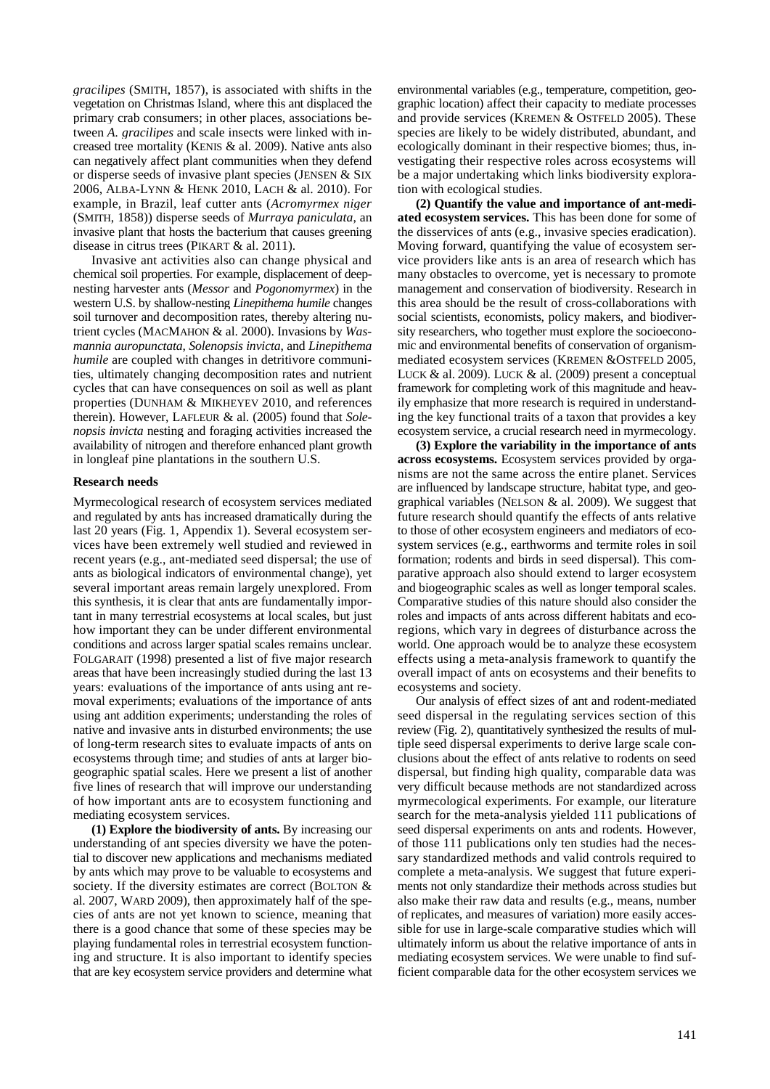*gracilipes* (SMITH, 1857), is associated with shifts in the vegetation on Christmas Island, where this ant displaced the primary crab consumers; in other places, associations between *A. gracilipes* and scale insects were linked with increased tree mortality (KENIS & al. 2009). Native ants also can negatively affect plant communities when they defend or disperse seeds of invasive plant species (JENSEN & SIX 2006, ALBA-LYNN & HENK 2010, LACH & al. 2010). For example, in Brazil, leaf cutter ants (*Acromyrmex niger* (SMITH, 1858)) disperse seeds of *Murraya paniculata*, an invasive plant that hosts the bacterium that causes greening disease in citrus trees (PIKART & al. 2011).

Invasive ant activities also can change physical and chemical soil properties. For example, displacement of deepnesting harvester ants (*Messor* and *Pogonomyrmex*) in the western U.S. by shallow-nesting *Linepithema humile* changes soil turnover and decomposition rates, thereby altering nutrient cycles (MACMAHON & al. 2000). Invasions by *Wasmannia auropunctata*, *Solenopsis invicta*, and *Linepithema humile* are coupled with changes in detritivore communities, ultimately changing decomposition rates and nutrient cycles that can have consequences on soil as well as plant properties (DUNHAM & MIKHEYEV 2010, and references therein). However, LAFLEUR & al. (2005) found that *Solenopsis invicta* nesting and foraging activities increased the availability of nitrogen and therefore enhanced plant growth in longleaf pine plantations in the southern U.S.

## **Research needs**

Myrmecological research of ecosystem services mediated and regulated by ants has increased dramatically during the last 20 years (Fig. 1, Appendix 1). Several ecosystem services have been extremely well studied and reviewed in recent years (e.g., ant-mediated seed dispersal; the use of ants as biological indicators of environmental change), yet several important areas remain largely unexplored. From this synthesis, it is clear that ants are fundamentally important in many terrestrial ecosystems at local scales, but just how important they can be under different environmental conditions and across larger spatial scales remains unclear. FOLGARAIT (1998) presented a list of five major research areas that have been increasingly studied during the last 13 years: evaluations of the importance of ants using ant removal experiments; evaluations of the importance of ants using ant addition experiments; understanding the roles of native and invasive ants in disturbed environments; the use of long-term research sites to evaluate impacts of ants on ecosystems through time; and studies of ants at larger biogeographic spatial scales. Here we present a list of another five lines of research that will improve our understanding of how important ants are to ecosystem functioning and mediating ecosystem services.

**(1) Explore the biodiversity of ants.** By increasing our understanding of ant species diversity we have the potential to discover new applications and mechanisms mediated by ants which may prove to be valuable to ecosystems and society. If the diversity estimates are correct (BOLTON  $&$ al. 2007, WARD 2009), then approximately half of the species of ants are not yet known to science, meaning that there is a good chance that some of these species may be playing fundamental roles in terrestrial ecosystem functioning and structure. It is also important to identify species that are key ecosystem service providers and determine what

environmental variables (e.g., temperature, competition, geographic location) affect their capacity to mediate processes and provide services (KREMEN & OSTFELD 2005). These species are likely to be widely distributed, abundant, and ecologically dominant in their respective biomes; thus, investigating their respective roles across ecosystems will be a major undertaking which links biodiversity exploration with ecological studies.

**(2) Quantify the value and importance of ant-mediated ecosystem services.** This has been done for some of the disservices of ants (e.g., invasive species eradication). Moving forward, quantifying the value of ecosystem service providers like ants is an area of research which has many obstacles to overcome, yet is necessary to promote management and conservation of biodiversity. Research in this area should be the result of cross-collaborations with social scientists, economists, policy makers, and biodiversity researchers, who together must explore the socioeconomic and environmental benefits of conservation of organismmediated ecosystem services (KREMEN &OSTFELD 2005, LUCK & al. 2009). LUCK & al. (2009) present a conceptual framework for completing work of this magnitude and heavily emphasize that more research is required in understanding the key functional traits of a taxon that provides a key ecosystem service, a crucial research need in myrmecology.

**(3) Explore the variability in the importance of ants across ecosystems.** Ecosystem services provided by organisms are not the same across the entire planet. Services are influenced by landscape structure, habitat type, and geographical variables (NELSON & al. 2009). We suggest that future research should quantify the effects of ants relative to those of other ecosystem engineers and mediators of ecosystem services (e.g., earthworms and termite roles in soil formation; rodents and birds in seed dispersal). This comparative approach also should extend to larger ecosystem and biogeographic scales as well as longer temporal scales. Comparative studies of this nature should also consider the roles and impacts of ants across different habitats and ecoregions, which vary in degrees of disturbance across the world. One approach would be to analyze these ecosystem effects using a meta-analysis framework to quantify the overall impact of ants on ecosystems and their benefits to ecosystems and society.

Our analysis of effect sizes of ant and rodent-mediated seed dispersal in the regulating services section of this review (Fig. 2), quantitatively synthesized the results of multiple seed dispersal experiments to derive large scale conclusions about the effect of ants relative to rodents on seed dispersal, but finding high quality, comparable data was very difficult because methods are not standardized across myrmecological experiments. For example, our literature search for the meta-analysis yielded 111 publications of seed dispersal experiments on ants and rodents. However, of those 111 publications only ten studies had the necessary standardized methods and valid controls required to complete a meta-analysis. We suggest that future experiments not only standardize their methods across studies but also make their raw data and results (e.g., means, number of replicates, and measures of variation) more easily accessible for use in large-scale comparative studies which will ultimately inform us about the relative importance of ants in mediating ecosystem services. We were unable to find sufficient comparable data for the other ecosystem services we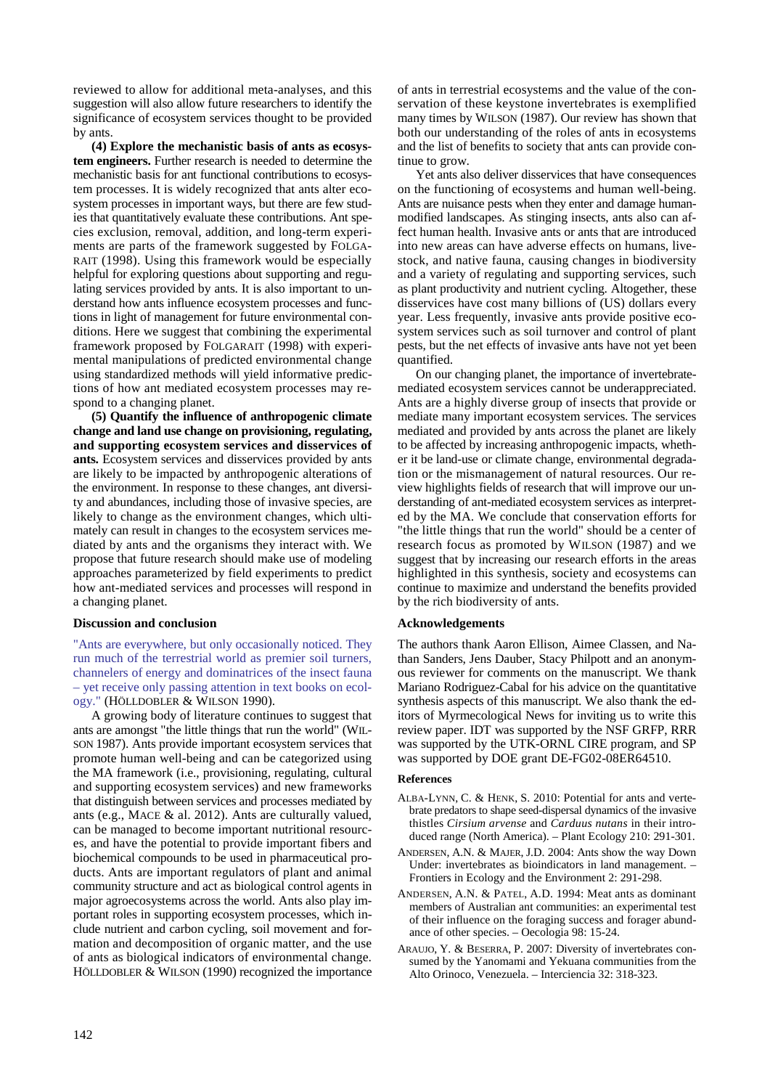reviewed to allow for additional meta-analyses, and this suggestion will also allow future researchers to identify the significance of ecosystem services thought to be provided by ants.

**(4) Explore the mechanistic basis of ants as ecosystem engineers.** Further research is needed to determine the mechanistic basis for ant functional contributions to ecosystem processes. It is widely recognized that ants alter ecosystem processes in important ways, but there are few studies that quantitatively evaluate these contributions. Ant species exclusion, removal, addition, and long-term experiments are parts of the framework suggested by FOLGA-RAIT (1998). Using this framework would be especially helpful for exploring questions about supporting and regulating services provided by ants. It is also important to understand how ants influence ecosystem processes and functions in light of management for future environmental conditions. Here we suggest that combining the experimental framework proposed by FOLGARAIT (1998) with experimental manipulations of predicted environmental change using standardized methods will yield informative predictions of how ant mediated ecosystem processes may respond to a changing planet.

**(5) Quantify the influence of anthropogenic climate change and land use change on provisioning, regulating, and supporting ecosystem services and disservices of ants.** Ecosystem services and disservices provided by ants are likely to be impacted by anthropogenic alterations of the environment. In response to these changes, ant diversity and abundances, including those of invasive species, are likely to change as the environment changes, which ultimately can result in changes to the ecosystem services mediated by ants and the organisms they interact with. We propose that future research should make use of modeling approaches parameterized by field experiments to predict how ant-mediated services and processes will respond in a changing planet.

## **Discussion and conclusion**

"Ants are everywhere, but only occasionally noticed. They run much of the terrestrial world as premier soil turners, channelers of energy and dominatrices of the insect fauna – yet receive only passing attention in text books on ecology." (HÖLLDOBLER & WILSON 1990).

A growing body of literature continues to suggest that ants are amongst "the little things that run the world" (WIL-SON 1987). Ants provide important ecosystem services that promote human well-being and can be categorized using the MA framework (i.e., provisioning, regulating, cultural and supporting ecosystem services) and new frameworks that distinguish between services and processes mediated by ants (e.g., MACE & al. 2012). Ants are culturally valued, can be managed to become important nutritional resources, and have the potential to provide important fibers and biochemical compounds to be used in pharmaceutical products. Ants are important regulators of plant and animal community structure and act as biological control agents in major agroecosystems across the world. Ants also play important roles in supporting ecosystem processes, which include nutrient and carbon cycling, soil movement and formation and decomposition of organic matter, and the use of ants as biological indicators of environmental change. HÖLLDOBLER & WILSON (1990) recognized the importance of ants in terrestrial ecosystems and the value of the conservation of these keystone invertebrates is exemplified many times by WILSON (1987). Our review has shown that both our understanding of the roles of ants in ecosystems and the list of benefits to society that ants can provide continue to grow.

Yet ants also deliver disservices that have consequences on the functioning of ecosystems and human well-being. Ants are nuisance pests when they enter and damage humanmodified landscapes. As stinging insects, ants also can affect human health. Invasive ants or ants that are introduced into new areas can have adverse effects on humans, livestock, and native fauna, causing changes in biodiversity and a variety of regulating and supporting services, such as plant productivity and nutrient cycling. Altogether, these disservices have cost many billions of (US) dollars every year. Less frequently, invasive ants provide positive ecosystem services such as soil turnover and control of plant pests, but the net effects of invasive ants have not yet been quantified.

On our changing planet, the importance of invertebratemediated ecosystem services cannot be underappreciated. Ants are a highly diverse group of insects that provide or mediate many important ecosystem services. The services mediated and provided by ants across the planet are likely to be affected by increasing anthropogenic impacts, whether it be land-use or climate change, environmental degradation or the mismanagement of natural resources. Our review highlights fields of research that will improve our understanding of ant-mediated ecosystem services as interpreted by the MA. We conclude that conservation efforts for "the little things that run the world" should be a center of research focus as promoted by WILSON (1987) and we suggest that by increasing our research efforts in the areas highlighted in this synthesis, society and ecosystems can continue to maximize and understand the benefits provided by the rich biodiversity of ants.

## **Acknowledgements**

The authors thank Aaron Ellison, Aimee Classen, and Nathan Sanders, Jens Dauber, Stacy Philpott and an anonymous reviewer for comments on the manuscript. We thank Mariano Rodriguez-Cabal for his advice on the quantitative synthesis aspects of this manuscript. We also thank the editors of Myrmecological News for inviting us to write this review paper. IDT was supported by the NSF GRFP, RRR was supported by the UTK-ORNL CIRE program, and SP was supported by DOE grant DE-FG02-08ER64510.

#### **References**

- ALBA-LYNN, C. & HENK, S. 2010: Potential for ants and vertebrate predators to shape seed-dispersal dynamics of the invasive thistles *Cirsium arvense* and *Carduus nutans* in their introduced range (North America). – Plant Ecology 210: 291-301.
- ANDERSEN, A.N. & MAJER, J.D. 2004: Ants show the way Down Under: invertebrates as bioindicators in land management. – Frontiers in Ecology and the Environment 2: 291-298.
- ANDERSEN, A.N. & PATEL, A.D. 1994: Meat ants as dominant members of Australian ant communities: an experimental test of their influence on the foraging success and forager abundance of other species. – Oecologia 98: 15-24.
- ARAUJO, Y. & BESERRA, P. 2007: Diversity of invertebrates consumed by the Yanomami and Yekuana communities from the Alto Orinoco, Venezuela. – Interciencia 32: 318-323.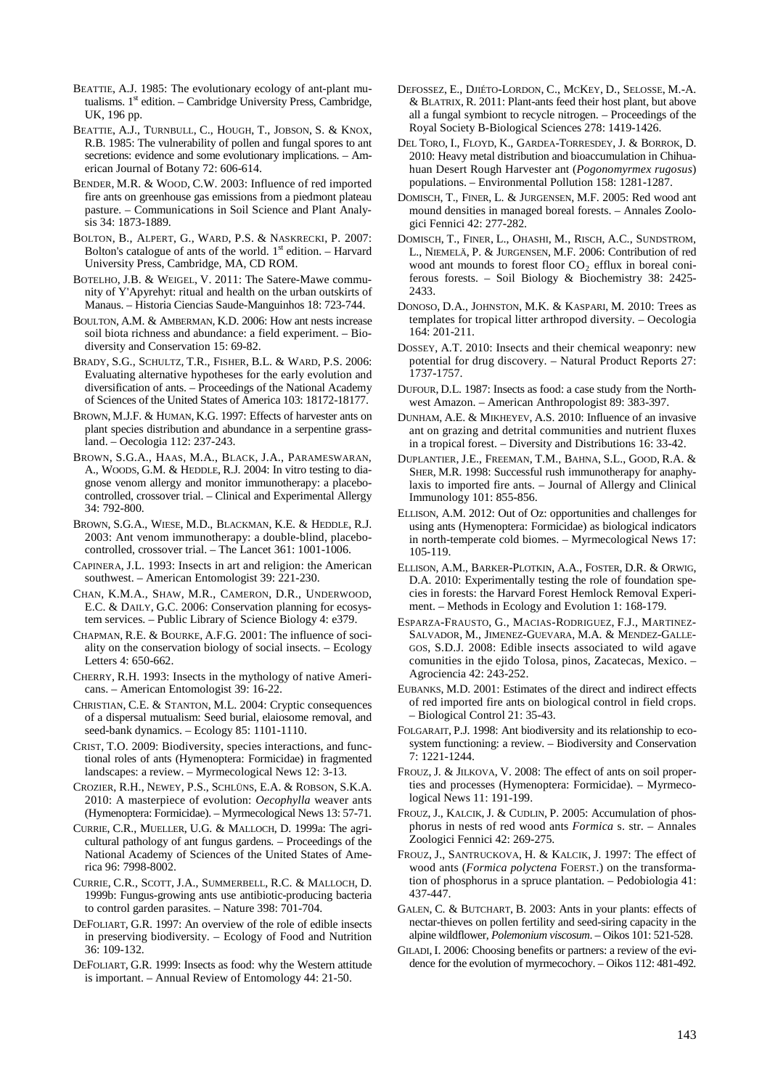- BEATTIE, A.J. 1985: The evolutionary ecology of ant-plant mutualisms.  $1<sup>st</sup>$  edition. – Cambridge University Press, Cambridge, UK, 196 pp.
- BEATTIE, A.J., TURNBULL, C., HOUGH, T., JOBSON, S. & KNOX, R.B. 1985: The vulnerability of pollen and fungal spores to ant secretions: evidence and some evolutionary implications. – American Journal of Botany 72: 606-614.
- BENDER, M.R. & WOOD, C.W. 2003: Influence of red imported fire ants on greenhouse gas emissions from a piedmont plateau pasture. – Communications in Soil Science and Plant Analysis 34: 1873-1889.
- BOLTON, B., ALPERT, G., WARD, P.S. & NASKRECKI, P. 2007: Bolton's catalogue of ants of the world.  $1<sup>st</sup>$  edition. – Harvard University Press, Cambridge, MA, CD ROM.
- BOTELHO, J.B. & WEIGEL, V. 2011: The Satere-Mawe community of Y'Apyrehyt: ritual and health on the urban outskirts of Manaus. – Historia Ciencias Saude-Manguinhos 18: 723-744.
- BOULTON, A.M. & AMBERMAN, K.D. 2006: How ant nests increase soil biota richness and abundance: a field experiment. – Biodiversity and Conservation 15: 69-82.
- BRADY, S.G., SCHULTZ, T.R., FISHER, B.L. & WARD, P.S. 2006: Evaluating alternative hypotheses for the early evolution and diversification of ants. – Proceedings of the National Academy of Sciences of the United States of America 103: 18172-18177.
- BROWN, M.J.F. & HUMAN, K.G. 1997: Effects of harvester ants on plant species distribution and abundance in a serpentine grassland. – Oecologia 112: 237-243.
- BROWN, S.G.A., HAAS, M.A., BLACK, J.A., PARAMESWARAN, A., WOODS, G.M. & HEDDLE, R.J. 2004: In vitro testing to diagnose venom allergy and monitor immunotherapy: a placebocontrolled, crossover trial. – Clinical and Experimental Allergy 34: 792-800.
- BROWN, S.G.A., WIESE, M.D., BLACKMAN, K.E. & HEDDLE, R.J. 2003: Ant venom immunotherapy: a double-blind, placebocontrolled, crossover trial. – The Lancet 361: 1001-1006.
- CAPINERA, J.L. 1993: Insects in art and religion: the American southwest. – American Entomologist 39: 221-230.
- CHAN, K.M.A., SHAW, M.R., CAMERON, D.R., UNDERWOOD, E.C. & DAILY, G.C. 2006: Conservation planning for ecosystem services. – Public Library of Science Biology 4: e379.
- CHAPMAN, R.E. & BOURKE, A.F.G. 2001: The influence of sociality on the conservation biology of social insects. – Ecology Letters 4: 650-662.
- CHERRY, R.H. 1993: Insects in the mythology of native Americans. – American Entomologist 39: 16-22.
- CHRISTIAN, C.E. & STANTON, M.L. 2004: Cryptic consequences of a dispersal mutualism: Seed burial, elaiosome removal, and seed-bank dynamics. – Ecology 85: 1101-1110.
- CRIST, T.O. 2009: Biodiversity, species interactions, and functional roles of ants (Hymenoptera: Formicidae) in fragmented landscapes: a review. – Myrmecological News 12: 3-13.
- CROZIER, R.H., NEWEY, P.S., SCHLÜNS, E.A. & ROBSON, S.K.A. 2010: A masterpiece of evolution: *Oecophylla* weaver ants (Hymenoptera: Formicidae). – Myrmecological News 13: 57-71.
- CURRIE, C.R., MUELLER, U.G. & MALLOCH, D. 1999a: The agricultural pathology of ant fungus gardens. – Proceedings of the National Academy of Sciences of the United States of America 96: 7998-8002.
- CURRIE, C.R., SCOTT, J.A., SUMMERBELL, R.C. & MALLOCH, D. 1999b: Fungus-growing ants use antibiotic-producing bacteria to control garden parasites. – Nature 398: 701-704.
- DEFOLIART, G.R. 1997: An overview of the role of edible insects in preserving biodiversity. – Ecology of Food and Nutrition 36: 109-132.
- DEFOLIART, G.R. 1999: Insects as food: why the Western attitude is important. – Annual Review of Entomology 44: 21-50.
- DEFOSSEZ, E., DJIÉTO-LORDON, C., MCKEY, D., SELOSSE, M.-A. & BLATRIX, R. 2011: Plant-ants feed their host plant, but above all a fungal symbiont to recycle nitrogen. – Proceedings of the Royal Society B-Biological Sciences 278: 1419-1426.
- DEL TORO, I., FLOYD, K., GARDEA-TORRESDEY, J. & BORROK, D. 2010: Heavy metal distribution and bioaccumulation in Chihuahuan Desert Rough Harvester ant (*Pogonomyrmex rugosus*) populations. – Environmental Pollution 158: 1281-1287.
- DOMISCH, T., FINER, L. & JURGENSEN, M.F. 2005: Red wood ant mound densities in managed boreal forests. – Annales Zoologici Fennici 42: 277-282.
- DOMISCH, T., FINER, L., OHASHI, M., RISCH, A.C., SUNDSTROM, L., NIEMELÄ, P. & JURGENSEN, M.F. 2006: Contribution of red wood ant mounds to forest floor  $CO<sub>2</sub>$  efflux in boreal coniferous forests. – Soil Biology & Biochemistry 38: 2425- 2433.
- DONOSO, D.A., JOHNSTON, M.K. & KASPARI, M. 2010: Trees as templates for tropical litter arthropod diversity. – Oecologia 164: 201-211.
- DOSSEY, A.T. 2010: Insects and their chemical weaponry: new potential for drug discovery. – Natural Product Reports 27: 1737-1757.
- DUFOUR, D.L. 1987: Insects as food: a case study from the Northwest Amazon. – American Anthropologist 89: 383-397.
- DUNHAM, A.E. & MIKHEYEV, A.S. 2010: Influence of an invasive ant on grazing and detrital communities and nutrient fluxes in a tropical forest. – Diversity and Distributions 16: 33-42.
- DUPLANTIER, J.E., FREEMAN, T.M., BAHNA, S.L., GOOD, R.A. & SHER, M.R. 1998: Successful rush immunotherapy for anaphylaxis to imported fire ants. – Journal of Allergy and Clinical Immunology 101: 855-856.
- ELLISON, A.M. 2012: Out of Oz: opportunities and challenges for using ants (Hymenoptera: Formicidae) as biological indicators in north-temperate cold biomes. – Myrmecological News 17: 105-119.
- ELLISON, A.M., BARKER-PLOTKIN, A.A., FOSTER, D.R. & ORWIG, D.A. 2010: Experimentally testing the role of foundation species in forests: the Harvard Forest Hemlock Removal Experiment. – Methods in Ecology and Evolution 1: 168-179.
- ESPARZA-FRAUSTO, G., MACIAS-RODRIGUEZ, F.J., MARTINEZ-SALVADOR, M., JIMENEZ-GUEVARA, M.A. & MENDEZ-GALLE-GOS, S.D.J. 2008: Edible insects associated to wild agave comunities in the ejido Tolosa, pinos, Zacatecas, Mexico. – Agrociencia 42: 243-252.
- EUBANKS, M.D. 2001: Estimates of the direct and indirect effects of red imported fire ants on biological control in field crops. – Biological Control 21: 35-43.
- FOLGARAIT, P.J. 1998: Ant biodiversity and its relationship to ecosystem functioning: a review. – Biodiversity and Conservation 7: 1221-1244.
- FROUZ, J. & JILKOVA, V. 2008: The effect of ants on soil properties and processes (Hymenoptera: Formicidae). – Myrmecological News 11: 191-199.
- FROUZ, J., KALCIK, J. & CUDLIN, P. 2005: Accumulation of phosphorus in nests of red wood ants *Formica* s. str. – Annales Zoologici Fennici 42: 269-275.
- FROUZ, J., SANTRUCKOVA, H. & KALCIK, J. 1997: The effect of wood ants (*Formica polyctena* FOERST.) on the transformation of phosphorus in a spruce plantation. – Pedobiologia 41: 437-447.
- GALEN, C. & BUTCHART, B. 2003: Ants in your plants: effects of nectar-thieves on pollen fertility and seed-siring capacity in the alpine wildflower, *Polemonium viscosum*. – Oikos 101: 521-528.
- GILADI, I. 2006: Choosing benefits or partners: a review of the evidence for the evolution of myrmecochory. – Oikos 112: 481-492.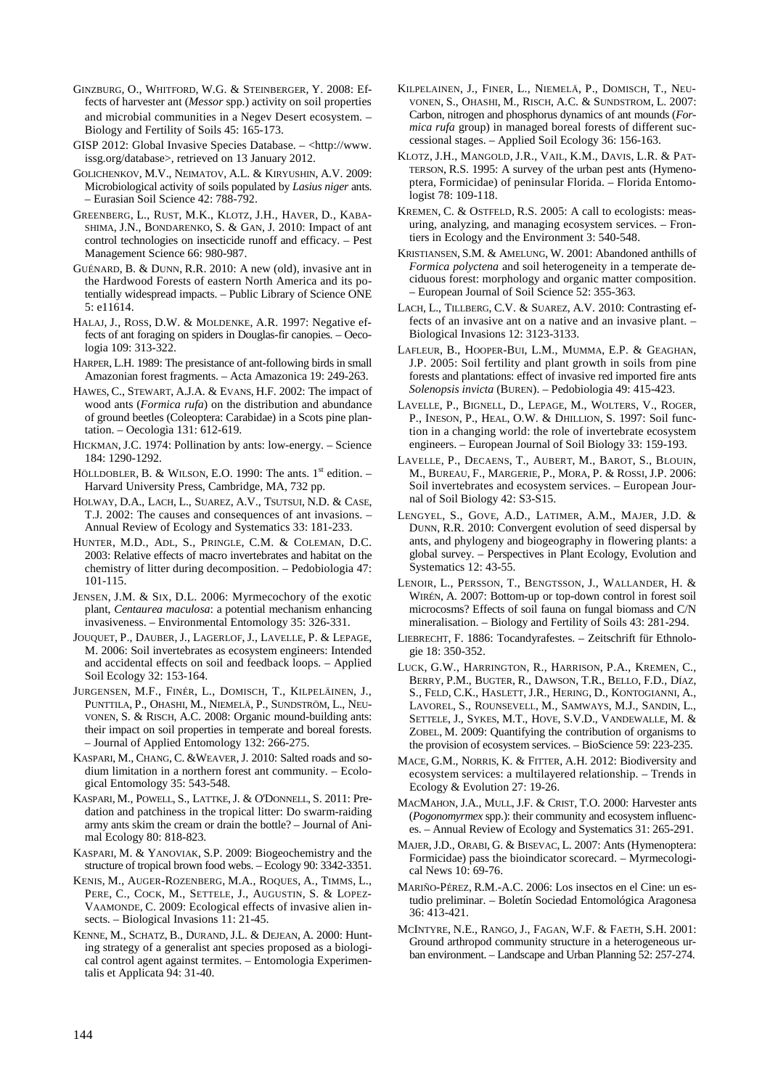- GINZBURG, O., WHITFORD, W.G. & STEINBERGER, Y. 2008: Effects of harvester ant (*Messor* spp.) activity on soil properties and microbial communities in a Negev Desert ecosystem. – Biology and Fertility of Soils 45: 165-173.
- GISP 2012: Global Invasive Species Database. <http://www. issg.org/database>, retrieved on 13 January 2012.
- GOLICHENKOV, M.V., NEIMATOV, A.L. & KIRYUSHIN, A.V. 2009: Microbiological activity of soils populated by *Lasius niger* ants. – Eurasian Soil Science 42: 788-792.
- GREENBERG, L., RUST, M.K., KLOTZ, J.H., HAVER, D., KABA-SHIMA, J.N., BONDARENKO, S. & GAN, J. 2010: Impact of ant control technologies on insecticide runoff and efficacy. – Pest Management Science 66: 980-987.
- GUÉNARD, B. & DUNN, R.R. 2010: A new (old), invasive ant in the Hardwood Forests of eastern North America and its potentially widespread impacts. – Public Library of Science ONE 5: e11614.
- HALAJ, J., ROSS, D.W. & MOLDENKE, A.R. 1997: Negative effects of ant foraging on spiders in Douglas-fir canopies. – Oecologia 109: 313-322.
- HARPER, L.H. 1989: The presistance of ant-following birds in small Amazonian forest fragments. – Acta Amazonica 19: 249-263.
- HAWES, C., STEWART, A.J.A. & EVANS, H.F. 2002: The impact of wood ants (*Formica rufa*) on the distribution and abundance of ground beetles (Coleoptera: Carabidae) in a Scots pine plantation. – Oecologia 131: 612-619.
- HICKMAN, J.C. 1974: Pollination by ants: low-energy. Science 184: 1290-1292.
- HÖLLDOBLER, B. & WILSON, E.O. 1990: The ants. 1<sup>st</sup> edition. -Harvard University Press, Cambridge, MA, 732 pp.
- HOLWAY, D.A., LACH, L., SUAREZ, A.V., TSUTSUI, N.D. & CASE, T.J. 2002: The causes and consequences of ant invasions. – Annual Review of Ecology and Systematics 33: 181-233.
- HUNTER, M.D., ADL, S., PRINGLE, C.M. & COLEMAN, D.C. 2003: Relative effects of macro invertebrates and habitat on the chemistry of litter during decomposition. – Pedobiologia 47: 101-115.
- JENSEN, J.M. & SIX, D.L. 2006: Myrmecochory of the exotic plant, *Centaurea maculosa*: a potential mechanism enhancing invasiveness. – Environmental Entomology 35: 326-331.
- JOUQUET, P., DAUBER, J., LAGERLOF, J., LAVELLE, P. & LEPAGE, M. 2006: Soil invertebrates as ecosystem engineers: Intended and accidental effects on soil and feedback loops. – Applied Soil Ecology 32: 153-164.
- JURGENSEN, M.F., FINÉR, L., DOMISCH, T., KILPELÄINEN, J., PUNTTILA, P., OHASHI, M., NIEMELÄ, P., SUNDSTRÖM, L., NEU-VONEN, S. & RISCH, A.C. 2008: Organic mound-building ants: their impact on soil properties in temperate and boreal forests. – Journal of Applied Entomology 132: 266-275.
- KASPARI, M., CHANG, C. &WEAVER, J. 2010: Salted roads and sodium limitation in a northern forest ant community. – Ecological Entomology 35: 543-548.
- KASPARI, M., POWELL, S., LATTKE,J. & O'DONNELL, S. 2011: Predation and patchiness in the tropical litter: Do swarm-raiding army ants skim the cream or drain the bottle? – Journal of Animal Ecology 80: 818-823.
- KASPARI, M. & YANOVIAK, S.P. 2009: Biogeochemistry and the structure of tropical brown food webs. – Ecology 90: 3342-3351.
- KENIS, M., AUGER-ROZENBERG, M.A., ROQUES, A., TIMMS, L., PERE, C., COCK, M., SETTELE, J., AUGUSTIN, S. & LOPEZ-VAAMONDE, C. 2009: Ecological effects of invasive alien insects. – Biological Invasions 11: 21-45.
- KENNE, M., SCHATZ, B., DURAND, J.L. & DEJEAN, A. 2000: Hunting strategy of a generalist ant species proposed as a biological control agent against termites. – Entomologia Experimentalis et Applicata 94: 31-40.
- KILPELAINEN, J., FINER, L., NIEMELÄ, P., DOMISCH, T., NEU-VONEN, S., OHASHI, M., RISCH, A.C. & SUNDSTROM, L. 2007: Carbon, nitrogen and phosphorus dynamics of ant mounds (*Formica rufa* group) in managed boreal forests of different successional stages. – Applied Soil Ecology 36: 156-163.
- KLOTZ, J.H., MANGOLD, J.R., VAIL, K.M., DAVIS, L.R. & PAT-TERSON, R.S. 1995: A survey of the urban pest ants (Hymenoptera, Formicidae) of peninsular Florida. – Florida Entomologist 78: 109-118.
- KREMEN, C. & OSTFELD, R.S. 2005: A call to ecologists: measuring, analyzing, and managing ecosystem services. – Frontiers in Ecology and the Environment 3: 540-548.
- KRISTIANSEN, S.M. & AMELUNG, W. 2001: Abandoned anthills of *Formica polyctena* and soil heterogeneity in a temperate deciduous forest: morphology and organic matter composition. – European Journal of Soil Science 52: 355-363.
- LACH, L., TILLBERG, C.V. & SUAREZ, A.V. 2010: Contrasting effects of an invasive ant on a native and an invasive plant. – Biological Invasions 12: 3123-3133.
- LAFLEUR, B., HOOPER-BUI, L.M., MUMMA, E.P. & GEAGHAN, J.P. 2005: Soil fertility and plant growth in soils from pine forests and plantations: effect of invasive red imported fire ants *Solenopsis invicta* (BUREN). – Pedobiologia 49: 415-423.
- LAVELLE, P., BIGNELL, D., LEPAGE, M., WOLTERS, V., ROGER, P., INESON, P., HEAL, O.W. & DHILLION, S. 1997: Soil function in a changing world: the role of invertebrate ecosystem engineers. – European Journal of Soil Biology 33: 159-193.
- LAVELLE, P., DECAENS, T., AUBERT, M., BAROT, S., BLOUIN, M., BUREAU, F., MARGERIE, P., MORA, P. & ROSSI, J.P. 2006: Soil invertebrates and ecosystem services. – European Journal of Soil Biology 42: S3-S15.
- LENGYEL, S., GOVE, A.D., LATIMER, A.M., MAJER, J.D. & DUNN, R.R. 2010: Convergent evolution of seed dispersal by ants, and phylogeny and biogeography in flowering plants: a global survey. – Perspectives in Plant Ecology, Evolution and Systematics 12: 43-55.
- LENOIR, L., PERSSON, T., BENGTSSON, J., WALLANDER, H. & WIRÉN, A. 2007: Bottom-up or top-down control in forest soil microcosms? Effects of soil fauna on fungal biomass and C/N mineralisation. – Biology and Fertility of Soils 43: 281-294.
- LIEBRECHT, F. 1886: Tocandyrafestes. Zeitschrift für Ethnologie 18: 350-352.
- LUCK, G.W., HARRINGTON, R., HARRISON, P.A., KREMEN, C., BERRY, P.M., BUGTER, R., DAWSON, T.R., BELLO, F.D., DÍAZ, S., FELD, C.K., HASLETT, J.R., HERING, D., KONTOGIANNI, A., LAVOREL, S., ROUNSEVELL, M., SAMWAYS, M.J., SANDIN, L., SETTELE, J., SYKES, M.T., HOVE, S.V.D., VANDEWALLE, M. & ZOBEL, M. 2009: Quantifying the contribution of organisms to the provision of ecosystem services. – BioScience 59: 223-235.
- MACE, G.M., NORRIS, K. & FITTER, A.H. 2012: Biodiversity and ecosystem services: a multilayered relationship. – Trends in Ecology & Evolution 27: 19-26.
- MACMAHON, J.A., MULL, J.F. & CRIST, T.O. 2000: Harvester ants (*Pogonomyrmex* spp.): their community and ecosystem influences. – Annual Review of Ecology and Systematics 31: 265-291.
- MAJER,J.D., ORABI, G. & BISEVAC, L. 2007: Ants (Hymenoptera: Formicidae) pass the bioindicator scorecard. – Myrmecological News 10: 69-76.
- MARIÑO-PÉREZ, R.M.-A.C. 2006: Los insectos en el Cine: un estudio preliminar. – Boletín Sociedad Entomológica Aragonesa 36: 413-421.
- MCINTYRE, N.E., RANGO, J., FAGAN, W.F. & FAETH, S.H. 2001: Ground arthropod community structure in a heterogeneous urban environment. – Landscape and Urban Planning 52: 257-274.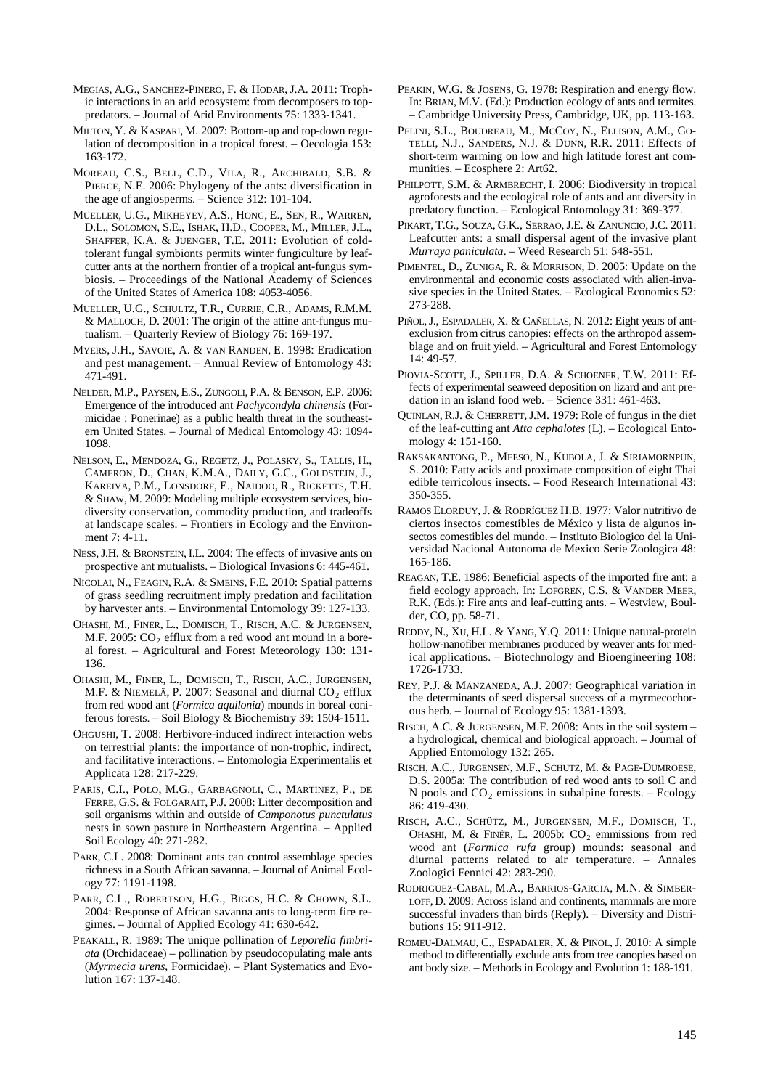- MEGIAS, A.G., SANCHEZ-PINERO, F. & HODAR, J.A. 2011: Trophic interactions in an arid ecosystem: from decomposers to toppredators. – Journal of Arid Environments 75: 1333-1341.
- MILTON, Y. & KASPARI, M. 2007: Bottom-up and top-down regulation of decomposition in a tropical forest. – Oecologia 153: 163-172.
- MOREAU, C.S., BELL, C.D., VILA, R., ARCHIBALD, S.B. & PIERCE, N.E. 2006: Phylogeny of the ants: diversification in the age of angiosperms. – Science 312: 101-104.
- MUELLER, U.G., MIKHEYEV, A.S., HONG, E., SEN, R., WARREN, D.L., SOLOMON, S.E., ISHAK, H.D., COOPER, M., MILLER, J.L., SHAFFER, K.A. & JUENGER, T.E. 2011: Evolution of coldtolerant fungal symbionts permits winter fungiculture by leafcutter ants at the northern frontier of a tropical ant-fungus symbiosis. – Proceedings of the National Academy of Sciences of the United States of America 108: 4053-4056.
- MUELLER, U.G., SCHULTZ, T.R., CURRIE, C.R., ADAMS, R.M.M. & MALLOCH, D. 2001: The origin of the attine ant-fungus mutualism. – Quarterly Review of Biology 76: 169-197.
- MYERS, J.H., SAVOIE, A. & VAN RANDEN, E. 1998: Eradication and pest management. – Annual Review of Entomology 43: 471-491.
- NELDER, M.P., PAYSEN, E.S., ZUNGOLI, P.A. & BENSON, E.P. 2006: Emergence of the introduced ant *Pachycondyla chinensis* (Formicidae : Ponerinae) as a public health threat in the southeastern United States. – Journal of Medical Entomology 43: 1094- 1098.
- NELSON, E., MENDOZA, G., REGETZ, J., POLASKY, S., TALLIS, H., CAMERON, D., CHAN, K.M.A., DAILY, G.C., GOLDSTEIN, J., KAREIVA, P.M., LONSDORF, E., NAIDOO, R., RICKETTS, T.H. & SHAW, M. 2009: Modeling multiple ecosystem services, biodiversity conservation, commodity production, and tradeoffs at landscape scales. – Frontiers in Ecology and the Environment 7: 4-11.
- NESS,J.H. & BRONSTEIN, I.L. 2004: The effects of invasive ants on prospective ant mutualists. – Biological Invasions 6: 445-461.
- NICOLAI, N., FEAGIN, R.A. & SMEINS, F.E. 2010: Spatial patterns of grass seedling recruitment imply predation and facilitation by harvester ants. – Environmental Entomology 39: 127-133.
- OHASHI, M., FINER, L., DOMISCH, T., RISCH, A.C. & JURGENSEN, M.F. 2005:  $CO<sub>2</sub>$  efflux from a red wood ant mound in a boreal forest. – Agricultural and Forest Meteorology 130: 131- 136.
- OHASHI, M., FINER, L., DOMISCH, T., RISCH, A.C., JURGENSEN, M.F. & NIEMELÄ, P. 2007: Seasonal and diurnal  $CO_2$  efflux from red wood ant (*Formica aquilonia*) mounds in boreal coniferous forests. – Soil Biology & Biochemistry 39: 1504-1511.
- OHGUSHI, T. 2008: Herbivore-induced indirect interaction webs on terrestrial plants: the importance of non-trophic, indirect, and facilitative interactions. – Entomologia Experimentalis et Applicata 128: 217-229.
- PARIS, C.I., POLO, M.G., GARBAGNOLI, C., MARTINEZ, P., DE FERRE, G.S. & FOLGARAIT, P.J. 2008: Litter decomposition and soil organisms within and outside of *Camponotus punctulatus* nests in sown pasture in Northeastern Argentina. – Applied Soil Ecology 40: 271-282.
- PARR, C.L. 2008: Dominant ants can control assemblage species richness in a South African savanna. – Journal of Animal Ecology 77: 1191-1198.
- PARR, C.L., ROBERTSON, H.G., BIGGS, H.C. & CHOWN, S.L. 2004: Response of African savanna ants to long-term fire regimes. – Journal of Applied Ecology 41: 630-642.
- PEAKALL, R. 1989: The unique pollination of *Leporella fimbriata* (Orchidaceae) – pollination by pseudocopulating male ants (*Myrmecia urens*, Formicidae). – Plant Systematics and Evolution 167: 137-148.
- PEAKIN, W.G. & JOSENS, G. 1978: Respiration and energy flow. In: BRIAN, M.V. (Ed.): Production ecology of ants and termites. – Cambridge University Press, Cambridge, UK, pp. 113-163.
- PELINI, S.L., BOUDREAU, M., MCCOY, N., ELLISON, A.M., GO-TELLI, N.J., SANDERS, N.J. & DUNN, R.R. 2011: Effects of short-term warming on low and high latitude forest ant communities. – Ecosphere 2: Art62.
- PHILPOTT, S.M. & ARMBRECHT, I. 2006: Biodiversity in tropical agroforests and the ecological role of ants and ant diversity in predatory function. – Ecological Entomology 31: 369-377.
- PIKART, T.G., SOUZA, G.K., SERRAO,J.E. & ZANUNCIO,J.C. 2011: Leafcutter ants: a small dispersal agent of the invasive plant *Murraya paniculata*. – Weed Research 51: 548-551.
- PIMENTEL, D., ZUNIGA, R. & MORRISON, D. 2005: Update on the environmental and economic costs associated with alien-invasive species in the United States. – Ecological Economics 52: 273-288.
- PIÑOL, J., ESPADALER, X. & CAÑELLAS, N. 2012: Eight years of antexclusion from citrus canopies: effects on the arthropod assemblage and on fruit yield. – Agricultural and Forest Entomology 14: 49-57.
- PIOVIA-SCOTT, J., SPILLER, D.A. & SCHOENER, T.W. 2011: Effects of experimental seaweed deposition on lizard and ant predation in an island food web. – Science 331: 461-463.
- QUINLAN, R.J. & CHERRETT,J.M. 1979: Role of fungus in the diet of the leaf-cutting ant *Atta cephalotes* (L). – Ecological Entomology 4: 151-160.
- RAKSAKANTONG, P., MEESO, N., KUBOLA, J. & SIRIAMORNPUN, S. 2010: Fatty acids and proximate composition of eight Thai edible terricolous insects. – Food Research International 43: 350-355.
- RAMOS ELORDUY,J. & RODRÍGUEZ H.B. 1977: Valor nutritivo de ciertos insectos comestibles de México y lista de algunos insectos comestibles del mundo. – Instituto Biologico del la Universidad Nacional Autonoma de Mexico Serie Zoologica 48: 165-186.
- REAGAN, T.E. 1986: Beneficial aspects of the imported fire ant: a field ecology approach. In: LOFGREN, C.S. & VANDER MEER, R.K. (Eds.): Fire ants and leaf-cutting ants. – Westview, Boulder, CO, pp. 58-71.
- REDDY, N., XU, H.L. & YANG, Y.Q. 2011: Unique natural-protein hollow-nanofiber membranes produced by weaver ants for medical applications. – Biotechnology and Bioengineering 108: 1726-1733.
- REY, P.J. & MANZANEDA, A.J. 2007: Geographical variation in the determinants of seed dispersal success of a myrmecochorous herb. – Journal of Ecology 95: 1381-1393.
- RISCH, A.C. & JURGENSEN, M.F. 2008: Ants in the soil system a hydrological, chemical and biological approach. – Journal of Applied Entomology 132: 265.
- RISCH, A.C., JURGENSEN, M.F., SCHUTZ, M. & PAGE-DUMROESE, D.S. 2005a: The contribution of red wood ants to soil C and N pools and  $CO<sub>2</sub>$  emissions in subalpine forests. – Ecology 86: 419-430.
- RISCH, A.C., SCHÜTZ, M., JURGENSEN, M.F., DOMISCH, T., OHASHI, M. & FINÉR, L. 2005b:  $CO<sub>2</sub>$  emmissions from red wood ant (*Formica rufa* group) mounds: seasonal and diurnal patterns related to air temperature. – Annales Zoologici Fennici 42: 283-290.
- RODRIGUEZ-CABAL, M.A., BARRIOS-GARCIA, M.N. & SIMBER-LOFF, D. 2009: Across island and continents, mammals are more successful invaders than birds (Reply). – Diversity and Distributions 15: 911-912.
- ROMEU-DALMAU, C., ESPADALER, X. & PIÑOL, J. 2010: A simple method to differentially exclude ants from tree canopies based on ant body size. – Methods in Ecology and Evolution 1: 188-191.